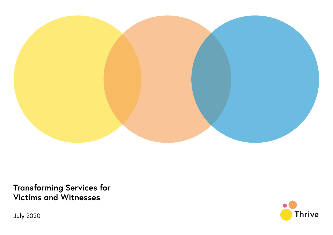

**Transforming Services for Victims and Witnesses**

**Thrive** 

July 2020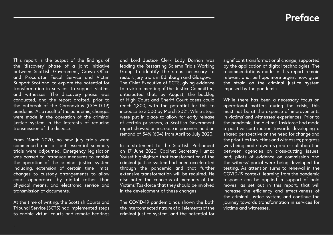## **Preface**

This report is the output of the findings of the 'discovery' phase of a joint initiative between Scottish Government, Crown Office and Procurator Fiscal Service and Victim Support Scotland, to explore the potential for transformation in services to support victims and witnesses. The discovery phase was conducted, and the report drafted, prior to the outbreak of the Coronavirus (COVID-19) pandemic. As a result of the pandemic, changes were made in the operation of the criminal justice system in the interests of reducing transmission of the disease.

From March 2020, no new jury trials were commenced and all but essential summary trials were adjourned. Emergency legislation was passed to introduce measures to enable the operation of the criminal justice system including, extension of certain time limits, changes to custody arrangements to allow court appearance by digital rather than physical means, and electronic service and transmission of documents.

At the time of writing, the Scottish Courts and Tribunal Service (SCTS) had implemented steps to enable virtual courts and remote hearings

and Lord Justice Clerk Lady Dorrian was leading the Restarting Solemn Trials Working Group to identify the steps necessary to restart jury trials in Edinburgh and Glasgow. The Chief Executive of SCTS, giving evidence to a virtual meeting of the Justice Committee, anticipated that, by August, the backlog of High Court and Sheriff Court cases could reach 1,800, with the potential for this to increase to 3,000 by March 2021. While steps were put in place to allow for early release of certain prisoners, a Scottish Government report showed an increase in prisoners held on remand of 54% (604) from April to July 2020.

In a statement to the Scottish Parliament on 17 June 2020, Cabinet Secretary Humza Yousef highlighted that transformation of the criminal justice system had been accelerated through the pandemic and that further extensive transformation will be required. He also noted the concerns of members of the Victims' Taskforce that they should be involved in the development of these changes.

The COVID-19 pandemic has shown the both the interconnected nature of all elements of the criminal justice system, and the potential for significant transformational change, supported by the application of digital technologies. The recommendations made in this report remain relevant and, perhaps more urgent now, given the strain on the criminal justice system imposed by the pandemic.

While there has been a necessary focus on operational matters during the crisis, this must not be at the expense of improvements in victims' and witnesses' experiences. Prior to the pandemic, the Victims' Taskforce had made a positive contribution towards developing a shared perspective on the need for change and the priorities for victims and witnesses; progress was being made towards greater collaboration between agencies on cross-cutting issues, and; pilots of evidence on commission and the witness' portal were being developed for testing. As attention turns to renewal in the COVID-19 context, learning from the pandemic response can be applied in support of bold moves, as set out in this report, that will increase the efficiency and effectiveness of the criminal justice system, and continue the journey towards transformation in services for victims and witnesses.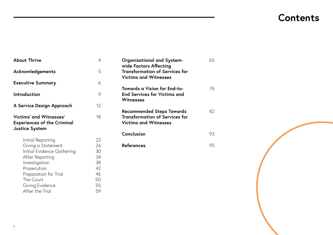# **Contents**

| <b>About Thrive</b>                                                                                                                                                                                  | 4                                                        |
|------------------------------------------------------------------------------------------------------------------------------------------------------------------------------------------------------|----------------------------------------------------------|
| Acknowledgements                                                                                                                                                                                     | 5                                                        |
| <b>Executive Summary</b>                                                                                                                                                                             | 6                                                        |
| Introduction                                                                                                                                                                                         | 9                                                        |
| A Service Design Approach                                                                                                                                                                            | 12                                                       |
| Victims' and Witnesses'<br><b>Experiences of the Criminal</b><br><b>Justice System</b>                                                                                                               | 18                                                       |
| Initial Reporting<br>Giving a Statement<br>Initial Evidence Gathering<br>After Reporting<br>Investigation<br>Prosecution<br>Preparation for Trial<br>The Court<br>Giving Evidence<br>After the Trial | 22<br>26<br>30<br>34<br>38<br>42<br>46<br>50<br>55<br>59 |

| <b>Organisational and System-</b><br>wide Factors Affecting<br><b>Transformation of Services for</b><br><b>Victims and Witnesses</b> | 65 |
|--------------------------------------------------------------------------------------------------------------------------------------|----|
| <b>Towards a Vision for End-to-</b><br><b>End Services for Victims and</b><br>Witnesses                                              | 76 |
| <b>Recommended Steps Towards</b><br><b>Transformation of Services for</b><br><b>Victims and Witnesses</b>                            | 82 |
| Conclusion                                                                                                                           | 93 |
| <b>References</b>                                                                                                                    | 95 |
|                                                                                                                                      |    |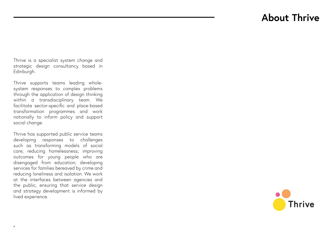# **About Thrive**

Thrive is a specialist system change and strategic design consultancy based in Edinburgh.

Thrive supports teams leading wholesystem responses to complex problems through the application of design thinking within a transdisciplinary team. We facilitate sector-specific and place-based transformation programmes and work nationally to inform policy and support social change.

Thrive has supported public service teams developing responses to challenges such as transforming models of social care; reducing homelessness; improving outcomes for young people who are disengaged from education; developing services for families bereaved by crime and reducing loneliness and isolation. We work at the interfaces between agencies and the public, ensuring that service design and strategy development is informed by lived experience.

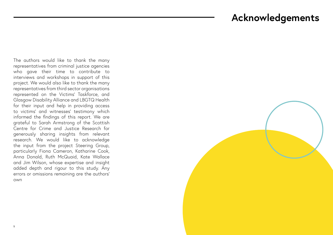## **Acknowledgements**

The authors would like to thank the many representatives from criminal justice agencies who gave their time to contribute to interviews and workshops in support of this project. We would also like to thank the many representatives from third sector organisations represented on the Victims' Taskforce, and Glasgow Disability Alliance and LBGTQ Health for their input and help in providing access to victims' and witnesses' testimony which informed the findings of this report. We are grateful to Sarah Armstrong of the Scottish Centre for Crime and Justice Research for generously sharing insights from relevant research. We would like to acknowledge the input from the project Steering Group, particularly Fiona Cameron, Katharine Cook, Anna Donald, Ruth McQuaid, Kate Wallace and Jim Wilson, whose expertise and insight added depth and rigour to this study. Any errors or omissions remaining are the authors' own

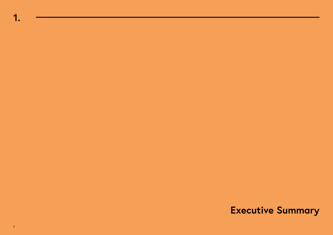**1.**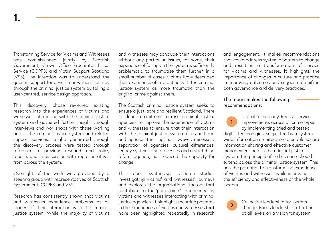Transforming Service for Victims and Witnesses was commissioned jointly by Scottish Government, Crown Office Procurator Fiscal Service (COPFS) and Victim Support Scotland (VSS). The intention was to understand the gaps in support for a victim or witness' journey through the criminal justice system by taking a user-centred, service design approach.

This 'discovery' phase reviewed existing research into the experiences of victims and witnesses interacting with the criminal justice system and gathered further insight through interviews and workshops with those working across the criminal justice system and related support services. Insights generated through the discovery process were tested through reference to previous research and policy reports and in discussion with representatives from across the system.

Oversight of the work was provided by a steering group with representatives of Scottish Government, COPFS and VSS.

Research has consistently shown that victims and witnesses experience problems at all stages of their interaction with the criminal justice system. While the majority of victims

and witnesses may conclude their interactions without any particular issues, for some, their experience of failings in the system is sufficiently problematic to traumatise them further. In a small number of cases, victims have described their experience of interacting with the criminal justice system as more traumatic than the original crime against them.

The Scottish criminal justice system seeks to ensure a just, safe and resilient Scotland. There is clear commitment across criminal justice agencies to improve the experience of victims and witnesses to ensure that their interaction with the criminal justice system does no harm and upholds their rights. However, necessary separation of agencies, cultural differences, legacy systems and processes and a stretching reform agenda, has reduced the capacity for change.

This report synthesises research studies investigating victims' and witnesses' journeys and explores the organisational factors that contribute to the 'pain points' experienced by victims and witnesses interacting with criminal justice agencies. It highlights recurring patterns in the experiences of victims and witnesses that have been highlighted repeatedly in research

and engagement. It makes recommendations that could address systemic barriers to change and result in a transformation of service for victims and witnesses. It highlights the importance of changes in culture and practice in improving outcomes and suggests a shift in both governance and delivery practices.

### The report makes the following recommendations:

Digital technology. Realise service improvements across all crime types by implementing tried and tested digital technologies, supported by a systemwide information architecture to enable secure information sharing and effective customer management across the criminal justice system. The principle of 'tell us once' should extend across the criminal justice system. This has the potential to transform the experience of victims and witnesses, while improving the efficiency and effectiveness of the whole system. **1**

> Collective leadership for system change. Focus leadership attention at all levels on a vision for system

**2**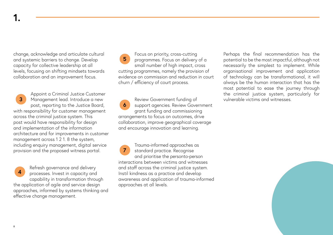**1.**

change, acknowledge and articulate cultural and systemic barriers to change. Develop capacity for collective leadership at all levels, focusing on shifting mindsets towards collaboration and an improvement focus.

Appoint a Criminal Justice Customer Management lead. Introduce a new post, reporting to the Justice Board, with responsibility for customer management across the criminal justice system. This post would have responsibility for design and implementation of the information architecture and for improvements in customer management across 1 2 1. 8 the system, including enquiry management, digital service provision and the proposed witness portal. **3**

Refresh governance and delivery processes. Invest in capacity and capability in transformation through the application of agile and service design approaches, informed by systems thinking and effective change management. **4**

Focus on priority, cross-cutting programmes. Focus on delivery of a small number of high impact, cross cutting programmes, namely the provision of evidence on commission and reduction in court churn / efficiency of court process. **5**

Review Government funding of support agencies. Review Government grant funding and commissioning arrangements to focus on outcomes, drive collaboration, improve geographical coverage and encourage innovation and learning. **6**

**7**

Trauma-informed approaches as standard practice. Recognise and prioritise the personto-person interactions between victims and witnesses and staff across the criminal justice system. Instil kindness as a practice and develop awareness and application of trauma-informed approaches at all levels.

Perhaps the final recommendation has the potential to be the most impactful, although not necessarily the simplest to implement. While organisational improvement and application of technology can be transformational, it will always be the human interaction that has the most potential to ease the journey through the criminal justice system, particularly for vulnerable victims and witnesses.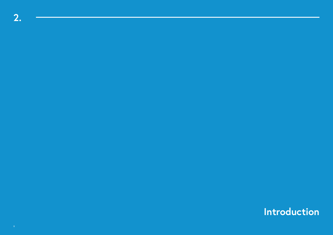**Introduction**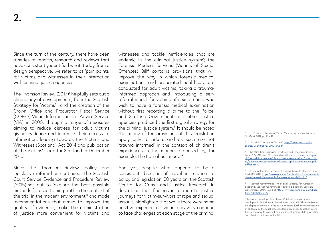Since the turn of the century, there have been a series of reports, research and reviews that have consistently identified what, today, from a design perspective, we refer to as 'pain points' for victims and witnesses in their interaction with criminal justice agencies.

The Thomson Review (2017)<sup>1</sup> helpfully sets out a chronology of developments, from the Scottish Strategy for Victims<sup>2</sup> and the creation of the Crown Office and Procurator Fiscal Service (COPFS) Victim Information and Advice Service (VIA) in 2000, through a range of measures aiming to reduce distress for adult victims giving evidence and increase their access to information, leading towards the Victims and Witnesses (Scotland) Act 2014 and publication of the Victims' Code for Scotland in December 2015.

Since the Thomson Review, policy and legislative reform has continued. The Scottish Court Service Evidence and Procedure Review (2015) set out to 'explore the best possible methods for ascertaining truth in the context of the trial in the modern environment'<sup>3</sup> and made recommendations that aimed to improve the quality of evidence, make the administration of justice more convenient for victims and

witnesses and tackle inefficiencies 'that are endemic in the criminal justice system'; the Forensic Medical Services (Victims of Sexual Offences) Bill<sup>4</sup> contains provisions that will improve the way in which forensic medical examinations and associated healthcare are conducted for adult victims, taking a traumainformed approach and introducing a selfreferral model for victims of sexual crime who wish to have a forensic medical examination without first reporting a crime to the Police; and Scottish Government and other justice agencies produced the first digital strategy for the criminal justice system.<sup>5</sup> It should be noted that many of the provisions of this legislation apply only to adults and as such are not 'trauma informed' in the context of children's experiences in the manner proposed by, for example, the Barnahaus model<sup>6</sup>.

And yet, despite what appears to be a consistent direction of travel in relation to policy and legislation, 20 years on, the Scottish Centre for Crime and Justice Research in describing their findings in relation to 'justice journeys' for victim-survivors of rape and sexual assault, highlighted that while there were some positive experiences, victim-survivors continue to face challenges at each stage of the criminal

1 L. Thomson, *Review of Victim Care in the Justice Sector in Scotland*, 2017, pp 21 - 47

Scottish Strategy for Victims', [http://www.gov.scot/Re](http://www.gov.scot/Resource/Doc/158898/0043164.pdf)[source/Doc/158898/0043164.pdf](http://www.gov.scot/Resource/Doc/158898/0043164.pdf)

3 Scottish Courts Service, 'Evidence and Procedure Review Report', *ScotCourts*, 2015, found at [https://www.scotcourts.gov.](https://www.scotcourts.gov.uk/docs/default-source/aboutscs/reports-and-data/reports-data/evidence-and-procedure-full-report---publication-version-pdf.pdf?sfvrsn=2) [uk/docs/default-source/aboutscs/reports-and-data/reports-da](https://www.scotcourts.gov.uk/docs/default-source/aboutscs/reports-and-data/reports-data/evidence-and-procedure-full-report---publication-version-pdf.pdf?sfvrsn=2)[ta/evidence-and-procedure-full-report---publication-version-pdf.](https://www.scotcourts.gov.uk/docs/default-source/aboutscs/reports-and-data/reports-data/evidence-and-procedure-full-report---publication-version-pdf.pdf?sfvrsn=2) [pdf?sfvrsn=2](https://www.scotcourts.gov.uk/docs/default-source/aboutscs/reports-and-data/reports-data/evidence-and-procedure-full-report---publication-version-pdf.pdf?sfvrsn=2)

4 Forensic Medical Services (Victims of Sexual Offences) (Scotland) Bill, 2019 [https://www.gov.scot/publications/forensic-medi](https://www.gov.scot/publications/forensic-medical-services-victims-sexual-offences-scotland-bill-fsda/)[cal-services-victims-sexual-offences-scotland-bill-fsda/](https://www.gov.scot/publications/forensic-medical-services-victims-sexual-offences-scotland-bill-fsda/)

<sup>5</sup>Scottish Government, 'The Digital Strategy for Justice in Scotland', *Scottish Government Website*, Edinburgh, Scottish Government, 2014, found at [http://www.scotland.gov.uk/Publica](http://www.scotland.gov.uk/Publications/2014/08/5429)[tions/2014/08/5429](http://www.scotland.gov.uk/Publications/2014/08/5429)

6 Barnahus translates literally as 'Children's House' as was developed in Scandanavia based upon the Child Advocacy Model developed in the USA in the 1980s to avoid further traumatisation of children by the legal process. Barnahus brings together operations necessary to conduct criminal investigation, child protection and physical and mental health.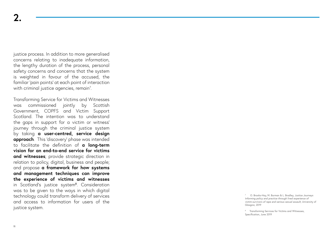justice process. In addition to more generalised concerns relating to inadequate information, the lengthy duration of the process, personal safety concerns and concerns that the system is weighted in favour of the accused, the familiar 'pain points' at each point of interaction with criminal justice agencies, remain 7 .

Transforming Service for Victims and Witnesses was commissioned jointly by Scottish Government, COPFS and Victim Support Scotland. The intention was to understand the gaps in support for a victim or witness' journey through the criminal justice system by taking **a user-centred, service design approach**. This 'discovery' phase was intended to facilitate the definition of **a long-term vision for an end-to-end service for victims and witnesses**; provide strategic direction in relation to policy, digital, business and people; and propose **a framework for how systems and management techniques can improve the experience of victims and witnesses** in Scotland's justice system 8 . Consideration was to be given to the ways in which digital technology could transform delivery of services and access to information for users of the justice system.

7 O. Brooks-Hay, M. Burman & L. Bradley, *Justice Journeys Informing policy and practice through lived experience of victim-survivors of rape and serious sexual assault*, University of Glasgow, 2019

<sup>8</sup> Transforming Services for Victims and Witnesses, Specification, June 2019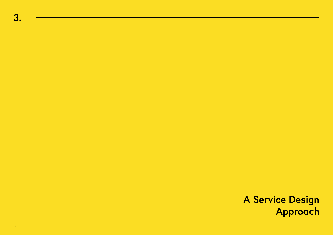**A Service Design Approach**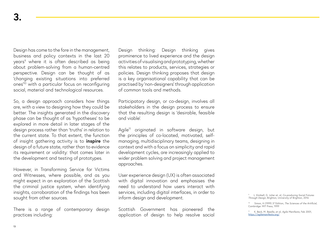Design has come to the fore in the management, business and policy contexts in the last 20 years $^{\circ}$  where it is often described as being about problem-solving from a human-centred perspective. Design can be thought of as 'changing existing situations into preferred ones'10 with a particular focus on reconfiguring social, material and technological resources.

So, a design approach considers how things are, with a view to designing how they could be better. The insights generated in the discovery phase can be thought of as 'hypotheses' to be explored in more detail in later stages of the design process rather than 'truths' in relation to the current state. To that extent, the function of insight gathering activity is to **inspire** the design of a future state, rather than to evidence its requirement or validity: that comes later in the development and testing of prototypes.

However, in Transforming Service for Victims and Witnesses, where possible, and as you might expect in an exploration of the Scottish the criminal justice system, when identifying insights, corroboration of the findings has been sought from other sources.

There is a range of contemporary design practices including:

Design thinking: Design thinking gives prominence to lived experience and the design activities of visualising and prototyping, whether this relates to products, services, strategies or policies. Design thinking proposes that design is a key organisational capability that can be practised by 'non-designers' through application of common tools and methods.

Participatory design, or co-design, involves all stakeholders in the design process to ensure that the resulting design is 'desirable, feasible and viable'.

Agile<sup>11</sup> originated in software design, but the principles of co-located, motivated, selfmanaging, multidisciplinary teams, designing in context and with a focus on simplicity and rapid development cycles, are increasingly applied to wider problem solving and project management approaches.

User experience design (UX) is often associated with digital innovation and emphasises the need to understand how users interact with services, including digital interfaces, in order to inform design and development.

Scottish Government has pioneered the application of design to help resolve social

<sup>9</sup> L. Kimbell, G. Julier et. al, *Co-producing Social Futures Through Design*, Brighton, University of Brighton, 2016

<sup>10</sup>Simon, H (1999) 3rd Edition, *The Sciences of the Artificial*, Cambridge: MIT Press, 1999

<sup>11</sup>K. Beck, M. Beedle, et al, *Agile Manifesto*, Feb 2001, <https://agilemanifesto.org/>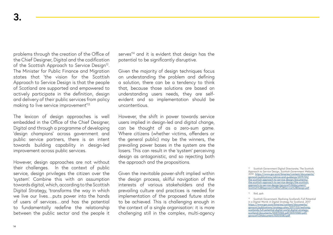problems through the creation of the Office of the Chief Designer, Digital and the codification of the Scottish Approach to Service Design<sup>12</sup>. The Minister for Public Finance and Migration states that 'the vision for the Scottish Approach to Service Design is that the people of Scotland are supported and empowered to actively participate in the definition, design and delivery of their public services from policy making to live service improvement<sup>'13.</sup>

The lexicon of design approaches is well embedded in the Office of the Chief Designer, Digital and through a programme of developing 'design champions' across government and public service partners, there is an intent towards building capability in design-led improvement across public services.

However, design approaches are not without their challenges. In the context of public service, design privileges the citizen over the 'system'. Combine this with an assumption towards digital, which, according to the Scottish Digital Strategy, 'transforms the way in which we live our lives…puts power into the hands of users of services…and has the potential to fundamentally redefine the relationship between the public sector and the people it serves<sup>14</sup> and it is evident that design has the potential to be significantly disruptive.

Given the majority of design techniques focus on understanding the problem and defining a solution, there can be a tendency to think that, because those solutions are based on understanding users needs, they are selfevident and so implementation should be uncontentious.

However, the shift in power towards service users implied in design-led and digital change, can be thought of as a zero-sum game. Where citizens (whether victims, offenders or the general public) may be the winners, the prevailing power bases in the system are the losers. This can result in the 'system' perceiving design as antagonistic, and so rejecting both the approach and the propositions.

Given the inevitable power-shift implied within the design process, skilful navigation of the interests of various stakeholders and the prevailing culture and practices is needed for implementation of the proposed future state to be achieved. This is challenging enough in the context of a single organisation: it is more challenging still in the complex, multi-agency

<sup>12</sup>Scottish Government Digital Directorate, The Scottish Approach to Service Design, *Scottish Government Website,* 2019[https://www.gov.scot/binaries/content/documents/](https://www.gov.scot/binaries/content/documents/govscot/publications/advice-and-guidance/2019/04/the) [govscot/publications/advice-and-guidance/2019/04/](https://www.gov.scot/binaries/content/documents/govscot/publications/advice-and-guidance/2019/04/the) [the-scottish-approach-to-service-design/documents/](https://www.gov.scot/binaries/content/documents/govscot/publications/advice-and-guidance/2019/04/the) [the-scottish-approach-to-service-design/the-scottish](https://www.gov.scot/binaries/content/documents/govscot/publications/advice-and-guidance/2019/04/the)[approach-to-service-design/govscot%3Adocument/](https://www.gov.scot/binaries/content/documents/govscot/publications/advice-and-guidance/2019/04/the) [Scottish%2BApproach%2Bto%2BService%2BDesign.pdf](https://www.gov.scot/binaries/content/documents/govscot/publications/advice-and-guidance/2019/04/the)

#### <sup>13</sup>Ibid, pp6

<sup>14</sup>Scottish Government, Realising Scotland's Full Potential in a Digital World: A Digital Strategy for Scotland, 2017 [https://www.gov.scot/binaries/content/documents/](https://www.gov.scot/binaries/content/documents/govscot/publications/strategy-plan/2017/03/realising-scotlands-full-potential-digital-world-digital-strategy-scotland/documents/00515583-pdf/00515583-pdf/govscot%3Adocument/00515583.pdf) [govscot/publications/strategy-plan/2017/03/realising](https://www.gov.scot/binaries/content/documents/govscot/publications/strategy-plan/2017/03/realising-scotlands-full-potential-digital-world-digital-strategy-scotland/documents/00515583-pdf/00515583-pdf/govscot%3Adocument/00515583.pdf)[scotlands-full-potential-digital-world-digital-strategy](https://www.gov.scot/binaries/content/documents/govscot/publications/strategy-plan/2017/03/realising-scotlands-full-potential-digital-world-digital-strategy-scotland/documents/00515583-pdf/00515583-pdf/govscot%3Adocument/00515583.pdf)[scotland/documents/00515583-pdf/00515583-pdf/](https://www.gov.scot/binaries/content/documents/govscot/publications/strategy-plan/2017/03/realising-scotlands-full-potential-digital-world-digital-strategy-scotland/documents/00515583-pdf/00515583-pdf/govscot%3Adocument/00515583.pdf) [govscot%3Adocument/00515583.pdf](https://www.gov.scot/binaries/content/documents/govscot/publications/strategy-plan/2017/03/realising-scotlands-full-potential-digital-world-digital-strategy-scotland/documents/00515583-pdf/00515583-pdf/govscot%3Adocument/00515583.pdf)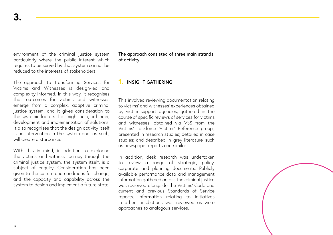environment of the criminal justice system particularly where the public interest which requires to be served by that system cannot be reduced to the interests of stakeholders

The approach to Transforming Services for Victims and Witnesses is design-led and complexity informed. In this way, it recognises that outcomes for victims and witnesses emerge from a complex, adaptive criminal justice system, and it gives consideration to the systemic factors that might help, or hinder, development and implementation of solutions. It also recognises that the design activity itself is an intervention in the system and, as such, will create disturbance.

With this in mind, in addition to exploring the victims' and witness' journey through the criminal justice system, the system itself, is a subject of enquiry. Consideration has been given to the culture and conditions for change; and the capacity and capability across the system to design and implement a future state. The approach consisted of three main strands of activity:

### **1. INSIGHT GATHERING**

This involved reviewing documentation relating to victims' and witnesses' experiences obtained by victim support agencies; gathered in the course of specific reviews of services for victims and witnesses; obtained via VSS from the Victims' Taskforce 'Victims' Reference group'; presented in research studies; detailed in case studies; and described in 'grey literature' such as newspaper reports and similar.

In addition, desk research was undertaken to review a range of strategic, policy, corporate and planning documents. Publicly available performance data and management information gathered across the criminal justice was reviewed alongside the Victims' Code and current and previous Standards of Service reports. Information relating to initiatives in other jurisdictions was reviewed as were approaches to analogous services.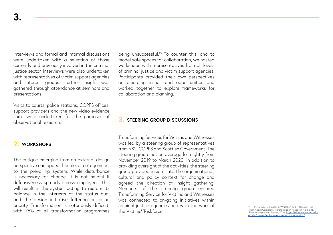Interviews and formal and informal discussions were undertaken with a selection of those currently and previously involved in the criminal justice sector. Interviews were also undertaken with representatives of victim support agencies and interest groups. Further insight was gathered through attendance at seminars and presentations.

Visits to courts, police stations, COPFS offices, support providers and the new video evidence suite were undertaken for the purposes of observational research.

## **2. WORKSHOPS**

The critique emerging from an external design perspective can appear hostile, or antagonistic, to the prevailing system. While disturbance is necessary for change, it is not helpful if defensiveness spreads across employees. This will result in the system acting to restore its balance in the interests of the status quo, and the design initiative faltering or losing priority. Transformation is notoriously difficult, with 75% of all transformation programmes

being unsuccessful.15 To counter this, and to model safe spaces for collaboration, we hosted workshops with representatives from all levels of criminal justice and victim support agencies. Participants provided their own perspectives on emerging issues and opportunities and worked together to explore frameworks for collaboration and planning.

## **3. STEERING GROUP DISCUSSIONS**

Transforming Services for Victims and Witnesses was led by a steering group of representatives from VSS, COPFS and Scottish Government. The steering group met on average fortnightly from November 2019 to March 2020. In addition to providing oversight of the activities, the steering group provided insight into the organisational, cultural and policy context for change and agreed the direction of insight gathering. Members of the steering group ensured Transforming Service for Victims and Witnesses was connected to on-going initiatives within criminal justice agencies and with the work of the Victims' Taskforce.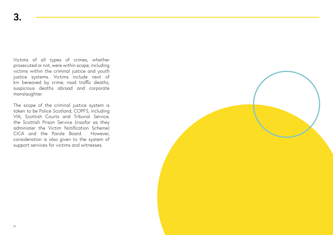Victims of all types of crimes, whether prosecuted or not, were within scope, including victims within the criminal justice and youth justice systems. Victims include next of kin bereaved by crime, road traffic deaths, suspicious deaths abroad and corporate manslaughter.

The scope of the criminal justice system is taken to be Police Scotland; COPFS, including VIA; Scottish Courts and Tribunal Service; the Scottish Prison Service (insofar as they administer the Victim Notification Scheme) CICA and the Parole Board. However, consideration is also given to the system of support services for victims and witnesses.

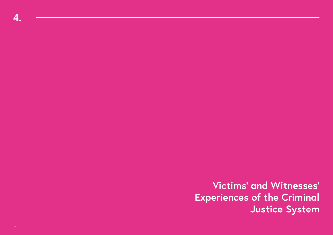**Victims' and Witnesses' Experiences of the Criminal Justice System**

**4.**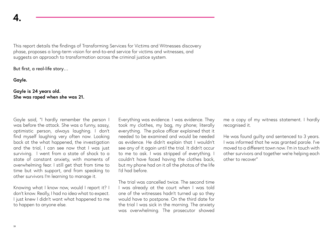This report details the findings of Transforming Services for Victims and Witnesses discovery phase, proposes a long-term vision for end-to-end service for victims and witnesses, and suggests an approach to transformation across the criminal justice system.

But first, a real-life story…

**Gayle.**

## **Gayle is 24 years old. She was raped when she was 21.**

Gayle said, "I hardly remember the person I was before the attack. She was a funny, sassy, optimistic person, always laughing. I don't find myself laughing very often now. Looking back at the what happened, the investigation and the trial, I can see now that I was just surviving. I went from a state of shock to a state of constant anxiety, with moments of overwhelming fear. I still get that from time to time but with support, and from speaking to other survivors I'm learning to manage it.

Knowing what I know now, would I report it? I don't know. Really, I had no idea what to expect. I just knew I didn't want what happened to me to happen to anyone else.

Everything was evidence. I was evidence. They took my clothes, my bag, my phone; literally everything. The police officer explained that it needed to be examined and would be needed as evidence. He didn't explain that I wouldn't see any of it again until the trial. It didn't occur to me to ask. I was stripped of everything. I couldn't have faced having the clothes back, but my phone had on it all the photos of the life I'd had before.

The trial was cancelled twice. The second time I was already at the court when I was told one of the witnesses hadn't turned up so they would have to postpone. On the third date for the trial I was sick in the morning. The anxiety was overwhelming. The prosecutor showed

me a copy of my witness statement. I hardly recognised it.

He was found guilty and sentenced to 3 years. I was informed that he was granted parole. I've moved to a different town now. I'm in touch with other survivors and together we're helping each other to recover"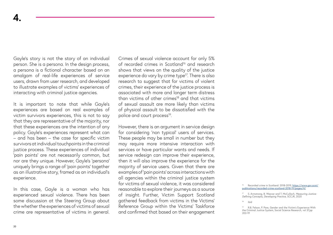Gayle's story is not the story of an individual person. She is a persona. In the design process, a persona is a fictional character based on an amalgam of real-life experiences of service users, drawn from user research, and developed to illustrate examples of victims' experiences of interacting with criminal justice agencies.

It is important to note that while Gayle's experiences are based on real examples of victim survivors experiences, this is not to say that they are representative of the majority, nor that these experiences are the intention of any policy. Gayle's experiences represent what can – and has been – the case for specific victim survivors at individual touchpoints in the criminal justice process. These experiences of individual 'pain points' are not necessarily common, but nor are they unique. However, Gayle's 'persona' uniquely brings a range of 'pain points' together as an illustrative story, framed as an individual's experience.

In this case, Gayle is a woman who has experienced sexual violence. There has been some discussion at the Steering Group about the whether the experiences of victims of sexual crime are representative of victims in general. Crimes of sexual violence account for only 5% of recorded crimes in Scotland<sup>16</sup> and research shows that views on the quality of the justice experience do vary by crime type<sup>17</sup>. There is also research to suggest that for victims of violent crimes, their experience of the justice process is associated with more and longer term distress than victims of other crimes $18$  and that victims of sexual assault are more likely than victims of physical assault to be dissatisfied with the police and court process<sup>19</sup>.

However, there is an argument in service design for considering 'non typical' users of services. These people may be small in number but they may require more intensive interaction with services or have particular wants and needs. If service redesign can improve their experience, then it will also improve the experience for the majority of service users. Given that there are examples of 'pain points' across interactions with all agencies within the criminal justice system for victims of sexual violence, it was considered reasonable to explore their journeys as a source of insight. Further, Victim Support Scotland gathered feedback from victims in the Victims' Reference Group within the Victims' Taskforce and confirmed that based on their engagement

<sup>&</sup>lt;sup>16</sup> Recorded crime in Scotland: 2018-2019, <u>https://www.gov.scot/</u><br>p<u>ublications/recorded-crime-scotland-2018-19/pages/4/</u>

<sup>17</sup> S. Armstrong, B. Weaver and T. McCulloch, *Measuring Justice: Defining Concepts, Developing Practice*, SCCJR, 2020

<sup>18</sup> ibid

<sup>19</sup> R.B. Felson, P. Pare, Gender and the Victim's Experience With the Criminal Justice System, Social Science Research, vol 37,pp 202-19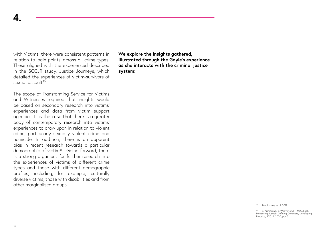with Victims, there were consistent patterns in relation to 'pain points' across all crime types. These aligned with the experienced described in the SCCJR study, Justice Journeys, which detailed the experiences of victim-survivors of sexual assault20.

The scope of Transforming Service for Victims and Witnesses required that insights would be based on secondary research into victims' experiences and data from victim support agencies. It is the case that there is a greater body of contemporary research into victims' experiences to draw upon in relation to violent crime, particularly sexually violent crime and homicide. In addition, there is an apparent bias in recent research towards a particular demographic of victim<sup>21</sup>. Going forward, there is a strong argument for further research into the experiences of victims of different crime types and those with different demographic profiles, including, for example, culturally diverse victims, those with disabilities and from other marginalised groups.

**We explore the insights gathered, illustrated through the Gayle's experience as she interacts with the criminal justice system:**

20 Brooks-Hay et all 2019

<sup>21</sup> S. Armstrong, B. Weaver and T. McCulloch, Measuring Justice: Defining Concepts, Developing Practice, SCCJR, 2020, pp45

**4.**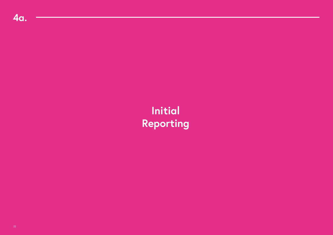# **Initial Reporting**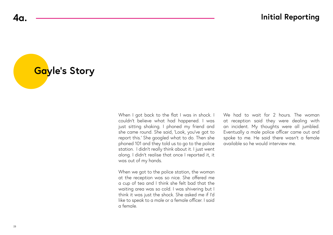**Gayle's Story**

When I got back to the flat I was in shock. I couldn't believe what had happened. I was just sitting shaking. I phoned my friend and she came round. She said, 'Look, you've got to report this.' She googled what to do. Then she phoned 101 and they told us to go to the police station. I didn't really think about it. I just went along. I didn't realise that once I reported it, it was out of my hands.

When we got to the police station, the woman at the reception was so nice. She offered me a cup of tea and I think she felt bad that the waiting area was so cold. I was shivering but I think it was just the shock. She asked me if I'd like to speak to a male or a female officer. I said a female.

We had to wait for 2 hours. The woman at reception said they were dealing with an incident. My thoughts were all jumbled. Eventually a male police officer came out and spoke to me. He said there wasn't a female available so he would interview me.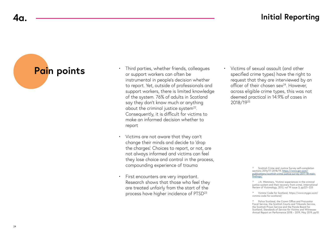## **4a. Initial Reporting**

# **Pain points**

- Third parties, whether friends, colleagues or support workers can often be instrumental in people's decision whether to report. Yet, outside of professionals and support workers, there is limited knowledge of the system. 76% of adults in Scotland say they don't know much or anything about the criminal justice system<sup>22</sup>. Consequently, it is difficult for victims to make an informed decision whether to report
- Victims are not aware that they can't change their minds and decide to 'drop the charges'. Choices to report, or not, are not always informed and victims can feel they lose choice and control in the process, compounding experience of trauma
- First encounters are very important. Research shows that those who feel they are treated unfairly from the start of the process have higher incidence of PTSD23

• Victims of sexual assault (and other specified crime types) have the right to request that they are interviewed by an officer of their chosen  $sex<sup>24</sup>$ . However, across eligible crime types, this was not deemed practical in 14.9% of cases in 2018/1925

> <sup>22</sup> Scottish Crime and Justice Survey self-completion sections 2016/17-2018/19, [https://www.gov.scot/](https://www.gov.scot/publications/scottish-crime-justice-survey-2017-18-main-findings/) [publications/scottish-crime-justice-survey-2017-18-main](https://www.gov.scot/publications/scottish-crime-justice-survey-2017-18-main-findings/)[findings/](https://www.gov.scot/publications/scottish-crime-justice-survey-2017-18-main-findings/)

23 J.A. Wemmers, 'Victims' experiences in the criminal justice system and their recovery from crime', *International Review of Victimology*, 2013, vol 19 issue 3, pp221–233

24 Victims' Code for Scotland, https://www.mygov.scot/ victims-code-for-scotland/

<sup>25</sup> Police Scotland, the Crown Office and Procurator Fiscal Service, the Scottish Courts and Tribunals Service, the Scottish Prison Service and the Parole Board for Scotland, *Standards of Service for Victims and Witnesses Annual Report on Performance* 2018 – 2019, May 2019, pp10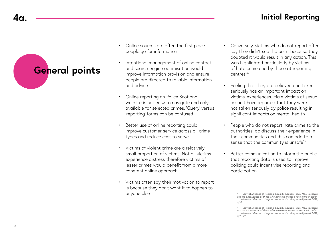## **4a. Initial Reporting**

# **General points**

- Online sources are often the first place people go for information
- Intentional management of online contact and search engine optimisation would improve information provision and ensure people are directed to reliable information and advice
- Online reporting on Police Scotland website is not easy to navigate and only available for selected crimes. 'Query' versus 'reporting' forms can be confused
- Better use of online reporting could improve customer service across all crime types and reduce cost to serve
- Victims of violent crime are a relatively small proportion of victims. Not all victims experience distress therefore victims of lesser crimes would benefit from a more coherent online approach
- Victims often say their motivation to report is because they don't want it to happen to anyone else
- Conversely, victims who do not report often say they didn't see the point because they doubted it would result in any action. This was highlighted particularly by victims of hate crime and by those at reporting centres<sup>26</sup>
- Feeling that they are believed and taken seriously has an important impact on victims' experiences. Male victims of sexual assault have reported that they were not taken seriously by police resulting in significant impacts on mental health
- People who do not report hate crime to the authorities, do discuss their experience in their communities and this can add to a sense that the community is unsafe<sup>27</sup>
- Better communication to inform the public that reporting data is used to improve policing could incentivise reporting and participation

<sup>26</sup> Scottish Alliance of Regional Equality Councils, *Why Me?: Research*  into the experiences of those who have experienced hate crime in order *to understand the kind of support services that they actually need,* 2017, pp10

<sup>27</sup> Scottish Alliance of Regional Equality Councils, *Why Me?: Research into the experiences of those who have experienced hate crime in order to understand the kind of support services that they actually need*, 2017, pp28-29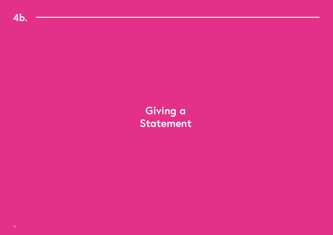**Giving a Statement**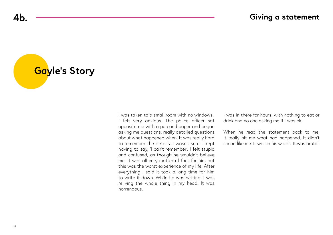**Gayle's Story**

I was taken to a small room with no windows. I felt very anxious. The police officer sat opposite me with a pen and paper and began asking me questions, really detailed questions about what happened when. It was really hard to remember the details. I wasn't sure. I kept having to say, 'I can't remember'. I felt stupid and confused, as though he wouldn't believe me. It was all very matter of fact for him but this was the worst experience of my life. After everything I said it took a long time for him to write it down. While he was writing, I was reliving the whole thing in my head. It was horrendous.

I was in there for hours, with nothing to eat or drink and no one asking me if I was ok.

When he read the statement back to me. it really hit me what had happened. It didn't sound like me. It was in his words. It was brutal.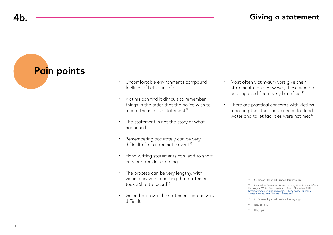# **Pain points**

- Uncomfortable environments compound feelings of being unsafe
- Victims can find it difficult to remember things in the order that the police wish to record them in the statement $^{28}$
- The statement is not the story of what happened
- Remembering accurately can be very difficult after a traumatic event<sup>29</sup>
- Hand writing statements can lead to short cuts or errors in recording
- The process can be very lengthy, with victim-survivors reporting that statements took 36hrs to record<sup>30</sup>
- Going back over the statement can be very difficult
- Most often victim-survivors give their statement alone. However, those who are accompanied find it very beneficial<sup>31</sup>
- There are practical concerns with victims reporting that their basic needs for food, water and toilet facilities were not met<sup>32</sup>

- 30 O. Brooks-Hay et all, Justice Journeys, pp3
- ibid, pp16-19
- $32$  Ibid, pp4

<sup>&</sup>lt;sup>28</sup> O. Brooks-Hay et all, Justice Journeys, pp3

Lancashire Traumatic Stress Service, 'How Trauma Affects the Way in Which We Encode and Store Memories', 2013, [https://www.lscft.nhs.uk/media/Publications/Traumatic-](https://www.lscft.nhs.uk/media/Publications/Traumatic-Stress-Service/How-Trauma-Affects.pdf)[Stress-Service/How-Trauma-Affects.pdf](https://www.lscft.nhs.uk/media/Publications/Traumatic-Stress-Service/How-Trauma-Affects.pdf)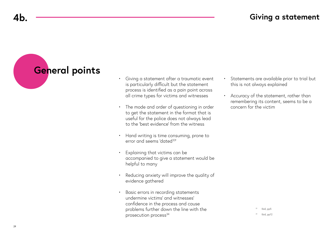# **General points**

- Giving a statement after a traumatic event is particularly difficult but the statement process is identified as a pain point across all crime types for victims and witnesses
- The mode and order of questioning in order to get the statement in the format that is useful for the police does not always lead to the 'best evidence' from the witness
- Hand writing is time consuming, prone to error and seems 'dated<sup>33'</sup>
- Explaining that victims can be accompanied to give a statement would be helpful to many
- Reducing anxiety will improve the quality of evidence gathered
- Basic errors in recording statements undermine victims' and witnesses' confidence in the process and cause problems further down the line with the prosecution process<sup>34</sup>
- Statements are available prior to trial but this is not always explained
- Accuracy of the statement, rather than remembering its content, seems to be a concern for the victim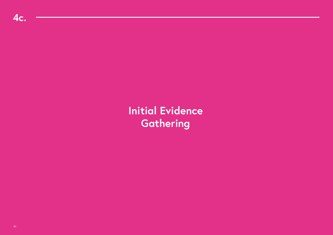**Initial Evidence Gathering**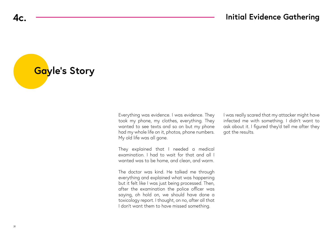**Gayle's Story**

Everything was evidence. I was evidence. They took my phone, my clothes, everything. They wanted to see texts and so on but my phone had my whole life on it, photos, phone numbers. My old life was all gone.

They explained that I needed a medical examination. I had to wait for that and all I wanted was to be home, and clean, and warm.

The doctor was kind. He talked me through everything and explained what was happening but it felt like I was just being processed. Then, after the examination the police officer was saying, oh hold on, we should have done a toxicology report. I thought, on no, after all that I don't want them to have missed something.

I was really scared that my attacker might have infected me with something. I didn't want to ask about it. I figured they'd tell me after they got the results.

**4c.**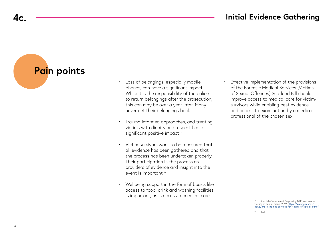## **4c. Initial Evidence Gathering**

**Pain points**

- Loss of belongings, especially mobile phones, can have a significant impact. While it is the responsibility of the police to return belongings after the prosecution, this can may be over a year later. Many never get their belongings back
- Trauma informed approaches, and treating victims with dignity and respect has a significant positive impact<sup>35</sup>
- Victim-survivors want to be reassured that all evidence has been gathered and that the process has been undertaken properly. Their participation in the process as providers of evidence and insight into the event is important<sup>36</sup>
- Wellbeing support in the form of basics like access to food, drink and washing facilities is important, as is access to medical care

• Effective implementation of the provisions of the Forensic Medical Services (Victims of Sexual Offences) Scotland Bill should improve access to medical care for victimsurvivors while enabling best evidence and access to examination by a medical professional of the chosen sex

<sup>&</sup>lt;sup>35</sup> Scottish Government, 'Improving NHS services for victims of sexual crime', 2019, [https://www.gov.scot/](https://www.gov.scot/news/improving-nhs-services-for-victims-of-sexual-crime/) news/improving-nhs-services-for-victims-of-sexual-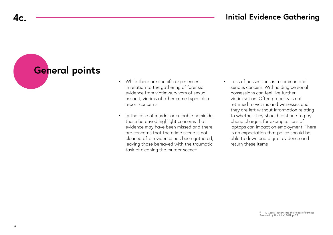## **4c. Initial Evidence Gathering**

# **General points**

- While there are specific experiences in relation to the gathering of forensic evidence from victim-survivors of sexual assault, victims of other crime types also report concerns
- In the case of murder or culpable homicide, those bereaved highlight concerns that evidence may have been missed and there are concerns that the crime scene is not cleaned after evidence has been gathered, leaving those bereaved with the traumatic task of cleaning the murder scene<sup>37</sup>
- Loss of possessions is a common and serious concern. Withholding personal possessions can feel like further victimisation. Often property is not returned to victims and witnesses and they are left without information relating to whether they should continue to pay phone charges, for example. Loss of laptops can impact on employment. There is an expectation that police should be able to download digital evidence and return these items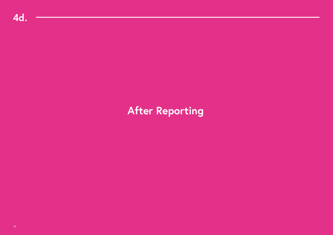# **After Reporting**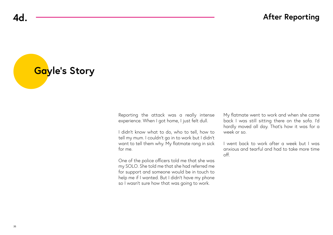**Gayle's Story**

Reporting the attack was a really intense experience. When I got home, I just felt dull.

I didn't know what to do, who to tell, how to tell my mum. I couldn't go in to work but I didn't want to tell them why. My flatmate rang in sick for me.

One of the police officers told me that she was my SOLO. She told me that she had referred me for support and someone would be in touch to help me if I wanted. But I didn't have my phone so I wasn't sure how that was going to work.

My flatmate went to work and when she came back I was still sitting there on the sofa. I'd hardly moved all day. That's how it was for a week or so.

I went back to work after a week but I was anxious and tearful and had to take more time off.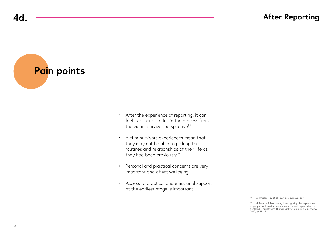**Pain points**

- After the experience of reporting, it can feel like there is a lull in the process from the victim-survivor perspective<sup>38</sup>
- Victim-survivors experiences mean that they may not be able to pick up the routines and relationships of their life as they had been previously<sup>39</sup>
- Personal and practical concerns are very important and affect wellbeing
- Access to practical and emotional support at the earliest stage is important

<sup>38</sup> O. Brooks-Hay et all, Justice Journeys, pp7

39 H. Easton, R Matthews, 'Investigating the experiences of people trafficked into commercial sexual exploitation in Scotland', Equality and Human Rights Commission, Glasgow, 2012, pp45-47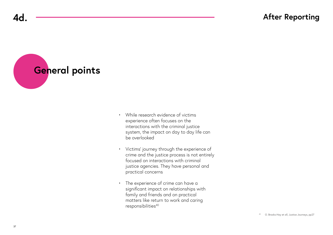**4d.**

**General points**

- While research evidence of victims experience often focuses on the interactions with the criminal justice system, the impact on day to day life can be overlooked
- Victims' journey through the experience of crime and the justice process is not entirely focused on interactions with criminal justice agencies. They have personal and practical concerns
- The experience of crime can have a significant impact on relationships with family and friends and on practical matters like return to work and caring responsibilities<sup>40</sup>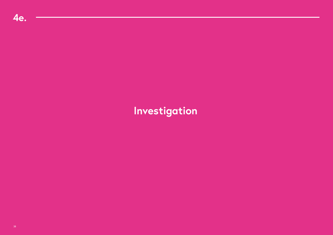# **Investigation**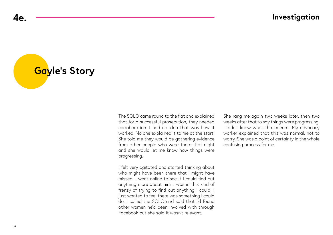**Gayle's Story**

The SOLO came round to the flat and explained that for a successful prosecution, they needed corroboration. I had no idea that was how it worked. No one explained it to me at the start. She told me they would be gathering evidence from other people who were there that night and she would let me know how things were progressing.

I felt very agitated and started thinking about who might have been there that I might have missed. I went online to see if I could find out anything more about him. I was in this kind of frenzy of trying to find out anything I could. I just wanted to feel there was something I could do. I called the SOLO and said that I'd found other women he'd been involved with through Facebook but she said it wasn't relevant.

She rang me again two weeks later, then two weeks after that to say things were progressing. I didn't know what that meant. My advocacy worker explained that this was normal, not to worry. She was a point of certainty in the whole confusing process for me.

**4e.**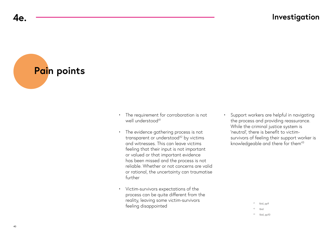**Pain points**

- The requirement for corroboration is not well understood<sup>41</sup>
- The evidence gathering process is not transparent or understood<sup>42</sup> by victims and witnesses. This can leave victims feeling that their input is not important or valued or that important evidence has been missed and the process is not reliable. Whether or not concerns are valid or rational, the uncertainty can traumatise further
- Victim-survivors expectations of the process can be quite different from the reality, leaving some victim-survivors feeling disappointed

• Support workers are helpful in navigating the process and providing reassurance. While the criminal justice system is 'neutral', there is benefit to victimsurvivors of feeling their support worker is knowledgeable and there for them<sup>43</sup>

> 1 bid, pp9  $42$  Ibid

43 Ibid, pp10

**4e.**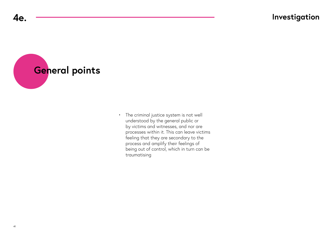**General points**

• The criminal justice system is not well understood by the general public or by victims and witnesses, and nor are processes within it. This can leave victims feeling that they are secondary to the process and amplify their feelings of being out of control, which in turn can be traumatising

**4e.**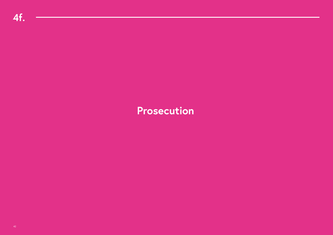**Prosecution**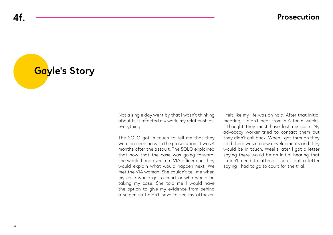**Gayle's Story**

Not a single day went by that I wasn't thinking about it. It affected my work, my relationships, everything.

The SOLO got in touch to tell me that they were proceeding with the prosecution. It was 4 months after the assault. The SOLO explained that now that the case was going forward, she would hand over to a VIA officer and they would explain what would happen next. We met the VIA woman. She couldn't tell me when my case would go to court or who would be taking my case. She told me I would have the option to give my evidence from behind a screen so I didn't have to see my attacker.

I felt like my life was on hold. After that initial meeting, I didn't hear from VIA for 6 weeks. I thought they must have lost my case. My advocacy worker tried to contact them but they didn't call back. When I got through they said there was no new developments and they would be in touch. Weeks later I got a letter saying there would be an initial hearing that I didn't need to attend. Then I got a letter saying I had to go to court for the trial.

**4f.**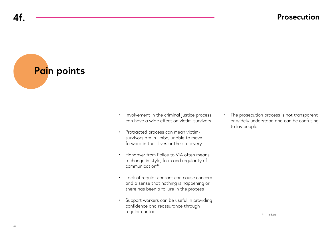**Pain points**

- Involvement in the criminal justice process can have a wide effect on victim-survivors
- Protracted process can mean victimsurvivors are in limbo, unable to move forward in their lives or their recovery
- Handover from Police to VIA often means a change in style, form and regularity of communication44
- Lack of regular contact can cause concern and a sense that nothing is happening or there has been a failure in the process
- Support workers can be useful in providing confidence and reassurance through regular contact

• The prosecution process is not transparent or widely understood and can be confusing to lay people

**4f.**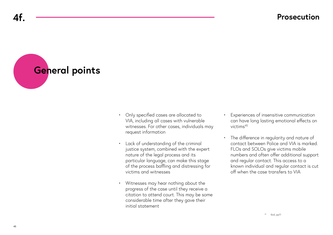**General points**

- Only specified cases are allocated to VIA, including all cases with vulnerable witnesses. For other cases, individuals may request information
- Lack of understanding of the criminal justice system, combined with the expert nature of the legal process and its particular language, can make this stage of the process baffling and distressing for victims and witnesses
- Witnesses may hear nothing about the progress of the case until they receive a citation to attend court. This may be some considerable time after they gave their initial statement
- Experiences of insensitive communication can have long lasting emotional effects on victims45
- The difference in regularity and nature of contact between Police and VIA is marked. FLOs and SOLOs give victims mobile numbers and often offer additional support and regular contact. This access to a known individual and regular contact is cut off when the case transfers to VIA

**4f.**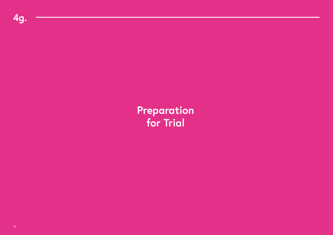**Preparation for Trial**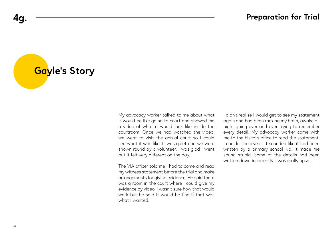**Gayle's Story**

My advocacy worker talked to me about what it would be like going to court and showed me a video of what it would look like inside the courtroom. Once we had watched the video, we went to visit the actual court so I could see what it was like. It was quiet and we were shown round by a volunteer. I was glad I went but it felt very different on the day.

The VIA officer told me I had to come and read my witness statement before the trial and make arrangements for giving evidence. He said there was a room in the court where I could give my evidence by video. I wasn't sure how that would work but he said it would be fine if that was what I wanted.

I didn't realise I would get to see my statement again and had been racking my brain, awake all night going over and over trying to remember every detail. My advocacy worker came with me to the Fiscal's office to read the statement. I couldn't believe it. It sounded like it had been written by a primary school kid. It made me sound stupid. Some of the details had been written down incorrectly. I was really upset.

**4g.**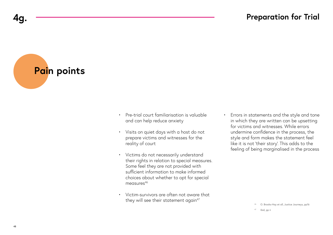**Pain points**

- Pre-trial court familiarisation is valuable and can help reduce anxiety
- Visits on quiet days with a host do not prepare victims and witnesses for the reality of court
- Victims do not necessarily understand their rights in relation to special measures. Some feel they are not provided with sufficient information to make informed choices about whether to opt for special measures<sup>46</sup>
- Victim-survivors are often not aware that they will see their statement again<sup>47</sup>

• Errors in statements and the style and tone in which they are written can be upsetting for victims and witnesses. While errors undermine confidence in the process, the style and form makes the statement feel like it is not 'their story'. This adds to the feeling of being marginalised in the process

<sup>46</sup> O. Brooks-Hay et all, Justice Journeys, pp16

Ibid, pp ii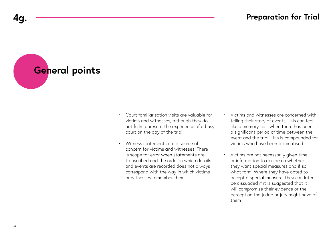**General points**

- Court familiarisation visits are valuable for victims and witnesses, although they do not fully represent the experience of a busy court on the day of the trial
- Witness statements are a source of concern for victims and witnesses. There is scope for error when statements are transcribed and the order in which details and events are recorded does not always correspond with the way in which victims or witnesses remember them
- Victims and witnesses are concerned with telling their story of events. This can feel like a memory test when there has been a significant period of time between the event and the trial. This is compounded for victims who have been traumatised
- Victims are not necessarily given time or information to decide on whether they want special measures and if so, what form. Where they have opted to accept a special measure, they can later be dissuaded if it is suggested that it will compromise their evidence or the perception the judge or jury might have of them

**4g.**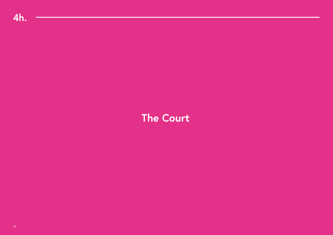## **The Court**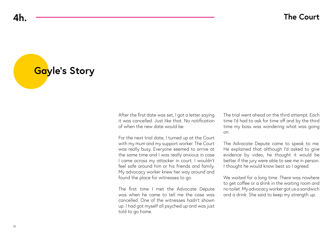**Gayle's Story**

After the first date was set, I got a letter saying it was cancelled. Just like that. No notification of when the new date would be.

For the next trial date, I turned up at the Court with my mum and my support worker. The Court was really busy. Everyone seemed to arrive at the same time and I was really anxious in case I came across my attacker in court. I wouldn't feel safe around him or his friends and family. My advocacy worker knew her way around and found the place for witnesses to go.

The first time I met the Advocate Depute was when he came to tell me the case was cancelled. One of the witnesses hadn't shown up. I had got myself all psyched up and was just told to go home.

The trial went ahead on the third attempt. Each time I'd had to ask for time off and by the third time my boss was wondering what was going on.

The Advocate Depute came to speak to me. He explained that although I'd asked to give evidence by video, he thought it would be better if the jury were able to see me in person. I thought he would know best so I agreed.

We waited for a long time. There was nowhere to get coffee or a drink in the waiting room and no toilet. My advocacy worker got us a sandwich and a drink. She said to keep my strength up.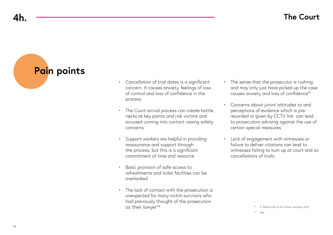**4h.**

**Pain points**

- Cancellation of trial dates is a significant concern. It causes anxiety, feelings of loss of control and loss of confidence in the process
- The Court arrival process can create bottle necks at key points and risk victims and accused coming into contact raising safety concerns
- Support workers are helpful in providing reassurance and support through the process, but this is a significant commitment of time and resource
- Basic provision of safe access to refreshments and toilet facilities can be overlooked
- The lack of contact with the prosecution is unexpected for many victim-survivors who had previously thought of the prosecution as 'their lawyer'48
- The sense that the prosecutor is rushing and may only just have picked up the case causes anxiety and loss of confidence<sup>49</sup>
- Concerns about jurors' attitudes to and perceptions of evidence which is prerecorded or given by CCTV link can lead to prosecutors advising against the use of certain special measures
- Lack of engagement with witnesses or failure to deliver citations can lead to witnesses failing to turn up at court and so cancellations of trials

<sup>48</sup> O. Brooks-Hay et all, Justice Journeys, pp19

<sup>49</sup> Ibid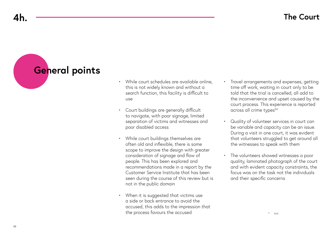## **General points**

- While court schedules are available online, this is not widely known and without a search function, this facility is difficult to use
- Court buildings are generally difficult to navigate, with poor signage, limited separation of victims and witnesses and poor disabled access
- While court buildings themselves are often old and inflexible, there is some scope to improve the design with greater consideration of signage and flow of people. This has been explored and recommendations made in a report by the Customer Service Institute that has been seen during the course of this review but is not in the public domain
- When it is suggested that victims use a side or back entrance to avoid the accused, this adds to the impression that the process favours the accused
- Travel arrangements and expenses, getting time off work, waiting in court only to be told that the trial is cancelled, all add to the inconvenience and upset caused by the court process. This experience is reported across all crime types<sup>50</sup>
- Quality of volunteer services in court can be variable and capacity can be an issue. During a visit in one court, it was evident that volunteers struggled to get around all the witnesses to speak with them
- The volunteers showed witnesses a poor quality, laminated photograph of the court and with evident capacity constraints, the focus was on the task not the individuals and their specific concerns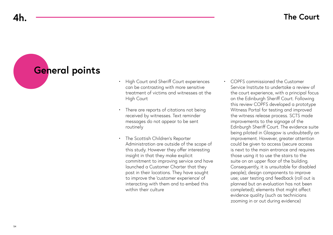## **4h.**

# **General points**

- High Court and Sheriff Court experiences can be contrasting with more sensitive treatment of victims and witnesses at the High Court
- There are reports of citations not being received by witnesses. Text reminder messages do not appear to be sent routinely
- The Scottish Children's Reporter Administration are outside of the scope of this study. However they offer interesting insight in that they make explicit commitment to improving service and have launched a Customer Charter that they post in their locations. They have sought to improve the 'customer experience' of interacting with them and to embed this within their culture
- COPFS commissioned the Customer Service Institute to undertake a review of the court experience, with a principal focus on the Edinburgh Sheriff Court. Following this review COPFS developed a prototype Witness Portal for testing and improved the witness release process. SCTS made improvements to the signage of the Edinburgh Sheriff Court. The evidence suite being piloted in Glasgow is undoubtedly an improvement. However, greater attention could be given to access (secure access is next to the main entrance and requires those using it to use the stairs to the suite on an upper floor of the building. Consequently, it is unsuitable for disabled people); design components to improve use; user testing and feedback (roll out is planned but an evaluation has not been completed); elements that might affect evidence quality (such as technicians zooming in or out during evidence)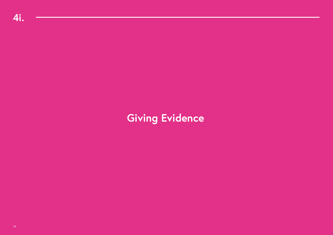# **Giving Evidence**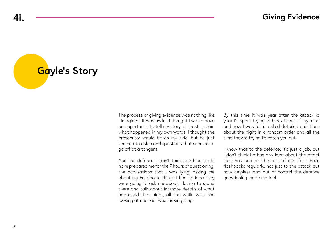# **Gayle's Story**

The process of giving evidence was nothing like I imagined. It was awful. I thought I would have an opportunity to tell my story, at least explain what happened in my own words. I thought the prosecutor would be on my side, but he just seemed to ask bland questions that seemed to go off at a tangent.

And the defence. I don't think anything could have prepared me for the 7 hours of questioning, the accusations that I was lying, asking me about my Facebook, things I had no idea they were going to ask me about. Having to stand there and talk about intimate details of what happened that night, all the while with him looking at me like I was making it up.

By this time it was year after the attack, a year I'd spent trying to block it out of my mind and now I was being asked detailed questions about the night in a random order and all the time they're trying to catch you out.

I know that to the defence, it's just a job, but I don't think he has any idea about the effect that has had on the rest of my life. I have flashbacks regularly, not just to the attack but how helpless and out of control the defence questioning made me feel.

**4i.**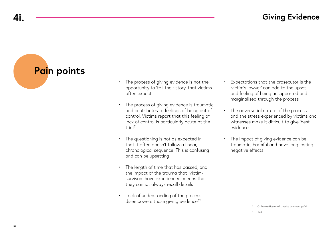## **Giving Evidence**

**Pain points**

- The process of giving evidence is not the opportunity to 'tell their story' that victims often expect
- The process of giving evidence is traumatic and contributes to feelings of being out of control. Victims report that this feeling of lack of control is particularly acute at the trial<sup>51</sup>
- The questioning is not as expected in that it often doesn't follow a linear, chronological sequence. This is confusing and can be upsetting
- The length of time that has passed, and the impact of the trauma that victimsurvivors have experienced, means that they cannot always recall details
- Lack of understanding of the process disempowers those giving evidence<sup>52</sup>
- Expectations that the prosecutor is the 'victim's lawyer' can add to the upset and feeling of being unsupported and marginalised through the process
- The adversarial nature of the process, and the stress experienced by victims and witnesses make it difficult to give 'best evidence'
- The impact of giving evidence can be traumatic, harmful and have long lasting negative effects

<sup>51</sup> O. Brooks-Hay et all, Justice Journeys, pp20

<sup>52</sup> Ibid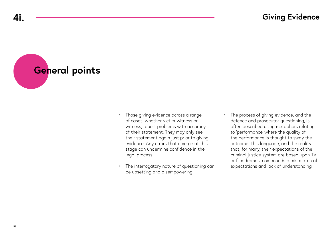**General points**

- Those giving evidence across a range of cases, whether victim-witness or witness, report problems with accuracy of their statement. They may only see their statement again just prior to giving evidence. Any errors that emerge at this stage can undermine confidence in the legal process
- The interrogatory nature of questioning can be upsetting and disempowering
- The process of giving evidence, and the defence and prosecutor questioning, is often described using metaphors relating to 'performance' where the quality of the performance is thought to sway the outcome. This language, and the reality that, for many, their expectations of the criminal justice system are based upon TV or film dramas, compounds a mis-match of expectations and lack of understanding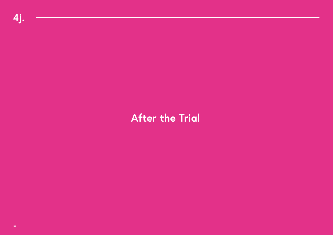# **After the Trial**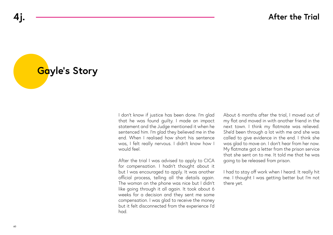**Gayle's Story**

I don't know if justice has been done. I'm glad that he was found guilty. I made an impact statement and the Judge mentioned it when he sentenced him. I'm glad they believed me in the end. When I realised how short his sentence was, I felt really nervous. I didn't know how I would feel.

After the trial I was advised to apply to CICA for compensation. I hadn't thought about it but I was encouraged to apply. It was another official process, telling all the details again. The woman on the phone was nice but I didn't like going through it all again. It took about 6 weeks for a decision and they sent me some compensation. I was glad to receive the money but it felt disconnected from the experience I'd had.

About 6 months after the trial, I moved out of my flat and moved in with another friend in the next town. I think my flatmate was relieved. She'd been through a lot with me and she was called to give evidence in the end. I think she was glad to move on. I don't hear from her now. My flatmate got a letter from the prison service that she sent on to me. It told me that he was going to be released from prison.

I had to stay off work when I heard. It really hit me. I thought I was getting better but I'm not there yet.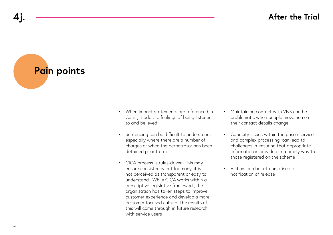**Pain points**

- When impact statements are referenced in Court, it adds to feelings of being listened to and believed
- Sentencing can be difficult to understand, especially where there are a number of charges or when the perpetrator has been detained prior to trial
- CICA process is rules-driven. This may ensure consistency but for many, it is not perceived as transparent or easy to understand. While CICA works within a prescriptive legislative framework, the organisation has taken steps to improve customer experience and develop a more customer-focused culture. The results of this will come through in future research with service users
- Maintaining contact with VNS can be problematic when people move home or their contact details change
- Capacity issues within the prison service, and complex processing, can lead to challenges in ensuring that appropriate information is provided in a timely way to those registered on the scheme
- Victims can be retraumatised at notification of release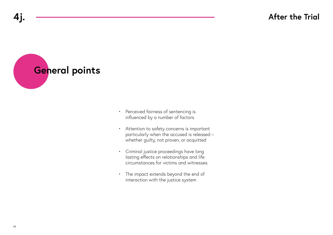**General points**

- Perceived fairness of sentencing is influenced by a number of factors
- Attention to safety concerns is important particularly when the accused is released – whether guilty, not proven, or acquitted
- Criminal justice proceedings have long lasting effects on relationships and life circumstances for victims and witnesses
- The impact extends beyond the end of interaction with the justice system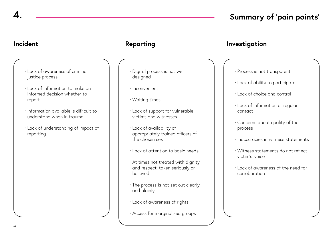## **4. Summary of 'pain points'**

- Lack of awareness of criminal justice process
- Lack of information to make an informed decision whether to report
- Information available is difficult to understand when in trauma
- Lack of understanding of impact of reporting

- Digital process is not well designed
- Inconvenient
- Waiting times
- Lack of support for vulnerable victims and witnesses
- Lack of availability of appropriately trained officers of the chosen sex
- Lack of attention to basic needs
- At times not treated with dignity and respect, taken seriously or believed
- The process is not set out clearly and plainly
- Lack of awareness of rights
- Access for marginalised groups

### **Incident Reporting Investigation**

### • Process is not transparent

- Lack of ability to participate
- Lack of choice and control
- Lack of information or regular contact
- Concerns about quality of the process
- Inaccuracies in witness statements
- Witness statements do not reflect victim's 'voice'
- Lack of awareness of the need for corroboration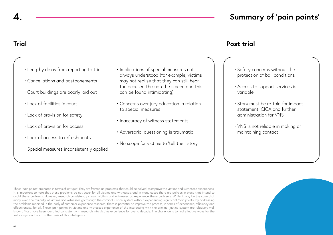## **4. Summary of 'pain points'**

## **Trial**

- Lengthy delay from reporting to trial
- Cancellations and postponements
- Court buildings are poorly laid out
- Lack of facilities in court
- Lack of provision for safety
- Lack of provision for access
- Lack of access to refreshments
- Special measures inconsistently applied
- Implications of special measures not always understood (for example, victims may not realise that they can still hear the accused through the screen and this can be found intimidating).
- Concerns over jury education in relation to special measures
- Inaccuracy of witness statements
- Adversarial questioning is traumatic
- No scope for victims to 'tell their story'

### **Post trial**

- Safety concerns without the protection of bail conditions
- Access to support services is variable
- Story must be re-told for impact statement, CICA and further administration for VNS
- VNS is not reliable in making or maintaining contact

These 'pain points' are noted in terms of 'critique'. They are framed as 'problems' that could be 'solved' to improve the victims and witnesses experiences. It is important to note that these problems do not occur for all victims and witnesses, and in many cases there are policies in place that intend to avoid these problems. However, research consistently shows, victims and witnesses do experience these problems. While it may be the case that many, even the majority, of victims and witnesses go through the criminal justice system without experiencing significant 'pain points', by addressing the problems reported in the body of customer experience research, there is potential to improve the process, in terms of experience, efficiency and effectiveness, for all. These 'pain points' in victims and witnesses experience of the interacting with the criminal justice system are relatively well known. Most have been identified consistently in research into victims experience for over a decade. The challenge is to find effective ways for the justice system to act on the basis of this intelligence.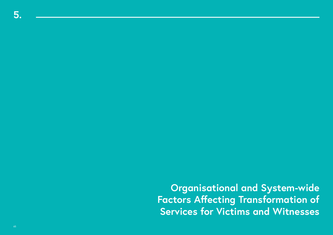**Organisational and System-wide Factors Affecting Transformation of Services for Victims and Witnesses**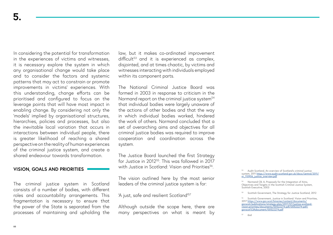In considering the potential for transformation in the experiences of victims and witnesses, it is necessary explore the system in which any organisational change would take place and to consider the factors and systemic patterns that may act to constrain or promote improvements in victims' experiences. With this understanding, change efforts can be prioritised and configured to focus on the leverage points that will have most impact in enabling change. By considering not only the 'models' implied by organisational structures, hierarchies, policies and processes, but also the inevitable local variation that occurs in interactions between individual people, there is greater likelihood of reaching a shared perspective on the reality of human experiences of the criminal justice system, and create a shared endeavour towards transformation.

### **VISION, GOALS AND PRIORITIES**

The criminal justice system in Scotland consists of a number of bodies, with different roles and accountability arrangements. This fragmentation is necessary to ensure that the power of the State is separated from the processes of maintaining and upholding the law, but it makes co-ordinated improvement  $difficult<sup>53</sup>$  and it is experienced as complex, disjointed, and at times chaotic, by victims and witnesses interacting with individuals employed within its component parts.

The National Criminal Justice Board was formed in 2003 in response to criticism in the Normand report on the criminal justice system<sup>54</sup> that individual bodies were largely unaware of the actions of other bodies and that the way in which individual bodies worked, hindered the work of others. Normand concluded that a set of overarching aims and objectives for all criminal justice bodies was required to improve cooperation and coordination across the system.

The Justice Board launched the first Strategy for Justice in 2012<sup>55</sup>. This was followed in 2017 with Justice in Scotland: Vision and Priorities<sup>56</sup>.

The vision outlined here by the most senior leaders of the criminal justice system is for:

'A just, safe and resilient Scotland'57

Although outside the scope here, there are many perspectives on what is meant by <sup>53</sup> Audit Scotland, An overview of Scotland's criminal justice<br>system, 2011 <u>[https://www.audit-scotland.gov.uk/docs/central/2011/](https://www.audit-scotland.gov.uk/docs/central/2011/nr_110906_justice_overview.pdf)</u> [nr\\_110906\\_justice\\_overview.pdf](https://www.audit-scotland.gov.uk/docs/central/2011/nr_110906_justice_overview.pdf)

55 Scottish Government, The Strategy for Justice Scotland, 2012

57 ibid

<sup>54</sup> Normand CB, A, Proposals for the Integration of Aims, Objectives and Targets in the Scottish Criminal Justice System, Scottish Executive, 2003

<sup>56</sup> Scottish Government, Justice in Scotland: Vision and Priorities, 2017 [https://www.gov.scot/binaries/content/documents/](https://www.gov.scot/binaries/content/documents/govscot/publications/strategy-plan/2017/07/justice-scotland-vision-priorities/documents/00522274-pdf/00522274-pdf/govscot%3Adocument/00522274.pdf) govscot/publications/strategy-plan/2017/07/justice-scotland-<br><u>[vision-priorities/documents/00522274-pdf/00522274-pdf/](https://www.gov.scot/binaries/content/documents/govscot/publications/strategy-plan/2017/07/justice-scotland-vision-priorities/documents/00522274-pdf/00522274-pdf/govscot%3Adocument/00522274.pdf)</u><br>[govscot%3Adocument/00522274.pdf](https://www.gov.scot/binaries/content/documents/govscot/publications/strategy-plan/2017/07/justice-scotland-vision-priorities/documents/00522274-pdf/00522274-pdf/govscot%3Adocument/00522274.pdf)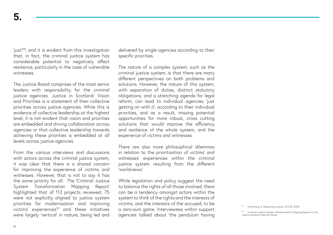'just'58, and it is evident from this investigation that, in fact, the criminal justice system has considerable potential to negatively affect resilience, particularly in the case of vulnerable witnesses.

The Justice Board comprises of the most senior leaders with responsibility for the criminal justice agencies. Justice in Scotland: Vision and Priorities is a statement of their collective priorities across justice agencies. While this is evidence of collective leadership at the highest level, it is not evident that vision and priorities are embedded and driving collaboration across agencies or that collective leadership towards achieving these priorities is embedded at all levels across justice agencies.

From the various interviews and discussions with actors across the criminal justice system, it was clear that there is a shared concern for improving the experience of victims and witnesses. However, that is not to say it has the same priority for all. The 'Criminal Justice System Transformation Mapping Report' highlighted that of 113 projects reviewed, 75 were not explicitly aligned to justice system priorities for modernisation and improving victims' experiences<sup>59</sup> and these initiatives were largely 'vertical' in nature, being led and delivered by single agencies according to their specific priorities.

The nature of a complex system, such as the criminal justice system, is that there are many different perspectives on both problems and solutions. However, the nature of this system, with separation of duties, distinct statutory obligations, and a stretching agenda for legal reform, can lead to individual agencies 'just getting on with it', according to their individual priorities, and as a result, missing potential opportunities for more robust, cross cutting solutions that would improve the efficiency and resilience of the whole system, and the experience of victims and witnesses.

There are also more philosophical dilemmas in relation to the prioritisation of victims' and witnesses' experiences within the criminal justice system resulting from the different 'worldviews'.

While legislation and policy suggest the need to balance the rights of all those involved, there can be a tendency amongst actors within the system to think of the rights and the interests of victims, and the interests of the accused, to be a zero-sum game. Interviewees within support agencies talked about 'the pendulum having

Armstrong, S, Measuring Justice, SCCJR, 2020

<sup>59</sup> Criminal Justice System Transformation Mapping Report to the Justice Systems Planning Group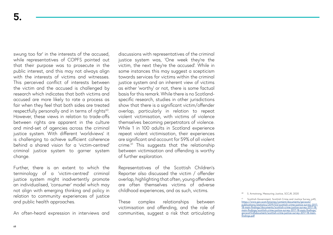swung too far' in the interests of the accused, while representatives of COPFS pointed out that their purpose was to prosecute in the public interest, and this may not always align with the interests of victims and witnesses. This perceived conflict of interests between the victim and the accused is challenged by research which indicates that both victims and accused are more likely to rate a process as fair when they feel that both sides are treated respectfully personally and in terms of rights<sup>60</sup>. However, these views in relation to trade-offs between rights are apparent in the culture and mind-set of agencies across the criminal justice system. With different 'worldviews' it is challenging to achieve sufficient coherence behind a shared vision for a 'victim-centred' criminal justice system to garner system change.

Further, there is an extent to which the terminology of a 'victim-centred' criminal justice system might inadvertently promote an individualised, 'consumer' model which may not align with emerging thinking and policy in relation to community experiences of justice and public health approaches.

An often-heard expression in interviews and

discussions with representatives of the criminal justice system was, 'One week they're the victim, the next they're the accused'. While in some instances this may suggest a scepticism towards services for victims within the criminal justice system and an inherent view of victims as either 'worthy' or not, there is some factual basis for this remark. While there is no Scotlandspecific research, studies in other jurisdictions show that there is a significant victim/offender overlap, particularly in relation to repeat violent victimisation, with victims of violence themselves becoming perpetrators of violence. While 1 in 100 adults in Scotland experience repeat violent victimisation, their experiences are significant and account for 59% of all violent crime.61 This suggests that the relationship between victimisation and offending is worthy of further exploration.

Representatives of the Scottish Children's Reporter also discussed the victim / offender overlap, highlighting that often, young offenders are often themselves victims of adverse childhood experiences, and as such, victims.

These complex relationships between victimisation and offending, and the role of communities, suggest a risk that articulating

**<sup>60</sup>** S. Armstrong, Measuring Justice, SCCJR, 2020

Scottish Government, Scottish Crime and Justice Survey, p45, [https://www.gov.scot/binaries/content/documents/govscot/](https://www.gov.scot/binaries/content/documents/govscot/publications/statistics/2019/03/scottish-crime-justice-survey-2017-18-main-findings/documents/scottish-crime-justice-survey-2017-18-main-findings/scottish-crime-justice-survey-2017-18-main-findings/g) [publications/statistics/2019/03/scottish-crime-justice-survey-2017-](https://www.gov.scot/binaries/content/documents/govscot/publications/statistics/2019/03/scottish-crime-justice-survey-2017-18-main-findings/documents/scottish-crime-justice-survey-2017-18-main-findings/scottish-crime-justice-survey-2017-18-main-findings/g) [18-main-findings/documents/scottish-crime-justice-survey-2017-18](https://www.gov.scot/binaries/content/documents/govscot/publications/statistics/2019/03/scottish-crime-justice-survey-2017-18-main-findings/documents/scottish-crime-justice-survey-2017-18-main-findings/scottish-crime-justice-survey-2017-18-main-findings/g) [main-findings/scottish-crime-justice-survey-2017-18-main-findings/](https://www.gov.scot/binaries/content/documents/govscot/publications/statistics/2019/03/scottish-crime-justice-survey-2017-18-main-findings/documents/scottish-crime-justice-survey-2017-18-main-findings/scottish-crime-justice-survey-2017-18-main-findings/g) [govscot%3Adocument/scottish-crime-justice-survey-2017-18-main](https://www.gov.scot/binaries/content/documents/govscot/publications/statistics/2019/03/scottish-crime-justice-survey-2017-18-main-findings/documents/scottish-crime-justice-survey-2017-18-main-findings/scottish-crime-justice-survey-2017-18-main-findings/g)[findings.pdf](https://www.gov.scot/binaries/content/documents/govscot/publications/statistics/2019/03/scottish-crime-justice-survey-2017-18-main-findings/documents/scottish-crime-justice-survey-2017-18-main-findings/scottish-crime-justice-survey-2017-18-main-findings/g)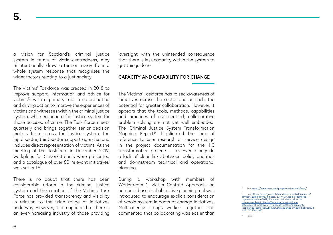a vision for Scotland's criminal justice system in terms of victim-centredness, may unintentionally draw attention away from a whole system response that recognises the wider factors relating to a just society.

The Victims' Taskforce was created in 2018 to improve support, information and advice for victims<sup>62</sup> with a primary role in co-ordinating and driving action to improve the experiences of victims and witnesses within the criminal justice system, while ensuring a fair justice system for those accused of crime. The Task Force meets quarterly and brings together senior decision makers from across the justice system, the legal sector, third sector support agencies and includes direct representation of victims. At the meeting of the Taskforce in December 2019, workplans for 5 workstreams were presented and a catalogue of over 80 'relevant initiatives' was set out<sup>63</sup>

There is no doubt that there has been considerable reform in the criminal justice system and the creation of the Victims' Task Force has provided transparency and visibility in relation to the wide range of initiatives underway. However, it can appear that there is an ever-increasing industry of those providing 'oversight' with the unintended consequence that there is less capacity within the system to get things done.

### **CAPACITY AND CAPABILITY FOR CHANGE**

The Victims' Taskforce has raised awareness of initiatives across the sector and as such, the potential for greater collaboration. However, it appears that the tools, methods, capabilities and practices of user-centred, collaborative problem solving are not yet well embedded. The 'Criminal Justice System Transformation Mapping Report<sup>64'</sup> highlighted the lack of reference to user research or service design in the project documentation for the 113 transformation projects it reviewed alongside a lack of clear links between policy priorities and downstream technical and operational planning.

During a workshop with members of Workstream 1, Victim Centred Approach, an outcome-based collaborative planning tool was introduced to encourage explicit consideration of whole system impacts of change initiatives. Multi-agency groups worked together and commented that collaborating was easier than

See<https://www.gov.scot/groups/victims-taskforce/>

See [https://www.gov.scot/binaries/content/documents/](https://www.gov.scot/binaries/content/documents/govscot/publications/minutes/2019/12/victims-taskforce-papers-december-2019/documents/victims-taskforce-catalogue-of-initiatives---11-dec/victims-taskforce-catalogue-of-initiatives---11-dec/govscot%3Adocumen) [govscot/publications/minutes/2019/12/victims-taskforce](https://www.gov.scot/binaries/content/documents/govscot/publications/minutes/2019/12/victims-taskforce-papers-december-2019/documents/victims-taskforce-catalogue-of-initiatives---11-dec/victims-taskforce-catalogue-of-initiatives---11-dec/govscot%3Adocumen)[papers-december-2019/documents/victims-taskforce](https://www.gov.scot/binaries/content/documents/govscot/publications/minutes/2019/12/victims-taskforce-papers-december-2019/documents/victims-taskforce-catalogue-of-initiatives---11-dec/victims-taskforce-catalogue-of-initiatives---11-dec/govscot%3Adocumen)[catalogue-of-initiatives---11-dec/victims-taskforce](https://www.gov.scot/binaries/content/documents/govscot/publications/minutes/2019/12/victims-taskforce-papers-december-2019/documents/victims-taskforce-catalogue-of-initiatives---11-dec/victims-taskforce-catalogue-of-initiatives---11-dec/govscot%3Adocumen)[catalogue-of-initiatives---11-dec/govscot%3Adocument/](https://www.gov.scot/binaries/content/documents/govscot/publications/minutes/2019/12/victims-taskforce-papers-december-2019/documents/victims-taskforce-catalogue-of-initiatives---11-dec/victims-taskforce-catalogue-of-initiatives---11-dec/govscot%3Adocumen) [Victims%2BTaskforce%2B-%2BCatalogue%2Bof%2BInitiatives%2B-](https://www.gov.scot/binaries/content/documents/govscot/publications/minutes/2019/12/victims-taskforce-papers-december-2019/documents/victims-taskforce-catalogue-of-initiatives---11-dec/victims-taskforce-catalogue-of-initiatives---11-dec/govscot%3Adocumen) [%2B11%2BDec.pdf](https://www.gov.scot/binaries/content/documents/govscot/publications/minutes/2019/12/victims-taskforce-papers-december-2019/documents/victims-taskforce-catalogue-of-initiatives---11-dec/victims-taskforce-catalogue-of-initiatives---11-dec/govscot%3Adocumen)

ibid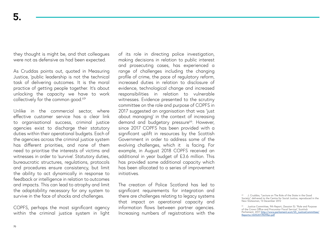they thought is might be, and that colleagues were not as defensive as had been expected.

As Cruddas points out, quoted in Measuring Justice, 'public leadership is not the technical task of delivering outcomes. It is the moral practice of getting people together. It's about unlocking the capacity we have to work collectively for the common good.<sup>65'</sup>

Unlike in the commercial sector, where effective customer service has a clear link to organisational success, criminal justice agencies exist to discharge their statutory duties within their operational budgets. Each of the agencies across the criminal justice system has different priorities, and none of them need to prioritise the interests of victims and witnesses in order to 'survive'. Statutory duties, bureaucratic structures, regulations, protocols and procedures ensure consistency, but limit the ability to act dynamically in response to feedback or intelligence in relation to outcomes and impacts. This can lead to atrophy and limit the adaptability necessary for any system to survive in the face of shocks and challenges.

COPFS, perhaps the most significant agency within the criminal justice system in light of its role in directing police investigation, making decisions in relation to public interest and prosecuting cases, has experienced a range of challenges including the changing profile of crime, the pace of regulatory reform, increased duties in relation to disclosure of evidence, technological change and increased responsibilities in relation to vulnerable witnesses. Evidence presented to the scrutiny committee on the role and purpose of COPFS in 2017 suggested an organisation that was 'just about managing' in the context of increasing demand and budgetary pressure<sup>66</sup>. However, since 2017 COPFS has been provided with a significant uplift in resources by the Scottish Government in order to address some of the evolving challenges, which it is facing. For example, in August 2018 COPFS received an additional in year budget of £3.6 million. This has provided some additional capacity which has been allocated to a series of improvement initiatives.

The creation of Police Scotland has led to significant requirements for integration and there are challenges relating to legacy systems that impact on operational capacity and information flows between partner agencies. Increasing numbers of registrations with the

<sup>&</sup>lt;sup>65</sup> J. Cruddas, "Lecture on The Role of the State in the Good Society", delivered to the Centre for Social Justice, reproduced in the New Statesman, 13 December 2012

<sup>66</sup> Justice Committee, 9th Report, (Session 5): "Role and Purpose of the Crown Office and Procurator Fiscal Service", Scottish Parliament, 2017 http://www.parliament.scot/S5\_JusticeCommittee/ Reports/JS052017R09Rev.pdf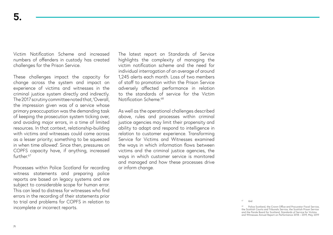Victim Notification Scheme and increased numbers of offenders in custody has created challenges for the Prison Service.

These challenges impact the capacity for change across the system and impact on experience of victims and witnesses in the criminal justice system directly and indirectly. The 2017 scrutiny committee noted that, 'Overall, the impression given was of a service whose primary preoccupation was the demanding task of keeping the prosecution system ticking over, and avoiding major errors, in a time of limited resources. In that context, relationship-building with victims and witnesses could come across as a lesser priority; something to be squeezed in when time allowed'. Since then, pressures on COPFS capacity have, if anything, increased further.<sup>67</sup>

Processes within Police Scotland for recording witness statements and preparing police reports are based on legacy systems and are subject to considerable scope for human error. This can lead to distress for witnesses who find errors in the recording of their statements prior to trial and problems for COPFS in relation to incomplete or incorrect reports.

The latest report on Standards of Service highlights the complexity of managing the victim notification scheme and the need for individual interrogation of an average of around 1,245 alerts each month. Loss of two members of staff to promotion within the Prison Service adversely affected performance in relation to the standards of service for the Victim Notification Scheme<sup>68</sup>

As well as the operational challenges described above, rules and processes within criminal justice agencies may limit their propensity and ability to adapt and respond to intelligence in relation to customer experience. Transforming Service for Victims and Witnesses examined the ways in which information flows between victims and the criminal justice agencies, the ways in which customer service is monitored and managed and how these processes drive or inform change.

ibid

Police Scotland, the Crown Office and Procurator Fiscal Service, the Scottish Courts and Tribunals Service, the Scottish Prison Service and the Parole Board for Scotland, Standards of Service for Victims and Witnesses Annual Report on Performance 2018 – 2019, May 2019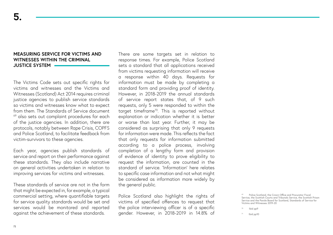### **MEASURING SERVICE FOR VICTIMS AND WITNESSES WITHIN THE CRIMINAL JUSTICE SYSTEM**

The Victims Code sets out specific rights for victims and witnesses and the Victims and Witnesses (Scotland) Act 2014 requires criminal justice agencies to publish service standards so victims and witnesses know what to expect from them. The Standards of Service document  $69$  also sets out complaint procedures for each of the justice agencies. In addition, there are protocols, notably between Rape Crisis, COPFS and Police Scotland, to facilitate feedback from victim-survivors to these agencies.

Each year, agencies publish standards of service and report on their performance against these standards. They also include narrative on general activities undertaken in relation to improving services for victims and witnesses.

These standards of service are not in the form that might be expected in, for example, a typical commercial setting, where quantifiable targets for service quality standards would be set and services would be monitored and reported against the achievement of these standards.

There are some targets set in relation to response times. For example, Police Scotland sets a standard that all applications received from victims requesting information will receive a response within 40 days. Requests for information must be made by completing a standard form and providing proof of identity. However, in 2018-2019 the annual standards of service report states that, of 9 such requests, only 5 were responded to within the target timeframe<sup>70</sup>. This is reported without explanation or indication whether it is better or worse than last year. Further, it may be considered as surprising that only 9 requests for information were made. This reflects the fact that only requests for information submitted according to a police process, involving completion of a lengthy form and provision of evidence of identity to prove eligibility to request the information, are counted in the standard of service. 'Information' here relates to specific case information and not what might be considered as information more widely by the general public.

Police Scotland also highlight the rights of victims of specified offences to request that the police interviewing officer is of a specific gender. However, in 2018-2019 in 14.8% of

<sup>69</sup> Police Scotland, the Crown Office and Procurator Fiscal Service, the Scottish Courts and Tribunals Service, the Scottish Prison Service and the Parole Board for Scotland, Standards of Service for Victims and Witnesses 2019-20

Ibid pp9

Ibid pp10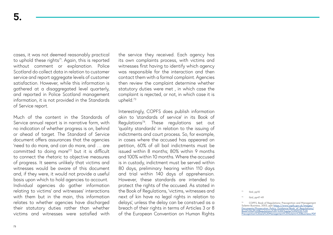cases, it was not deemed reasonably practical to uphold these rights $71$ . Again, this is reported without comment or explanation. Police Scotland do collect data in relation to customer service and report aggregate levels of customer satisfaction. However, while this information is gathered at a disaggregated level quarterly, and reported in Police Scotland management information, it is not provided in the Standards of Service report.

Much of the content in the Standards of Service annual report is in narrative form, with no indication of whether progress is on, behind or ahead of target. The Standard of Service document offers assurances that the agencies 'need to do more, and can do more, and … are committed to doing more'72 but it is difficult to connect the rhetoric to objective measures of progress. It seems unlikely that victims and witnesses would be aware of this document and, if they were, it would not provide a useful basis upon which to hold agencies to account. Individual agencies do gather information relating to victims' and witnesses' interactions with them but in the main, this information relates to whether agencies have discharged their statutory duties rather than whether victims and witnesses were satisfied with the service they received. Each agency has its own complaints process, with victims and witnesses first having to identify which agency was responsible for the interaction and then contact them with a formal complaint. Agencies then review the complaint determine whether statutory duties were met , in which case the complaint is rejected, or not, in which case it is upheld.73

Interestingly, COPFS does publish information akin to 'standards of service' in its Book of Regulations74. These regulations set out 'quality standards' in relation to the issuing of indictments and court process. So, for example, in cases where the accused has appeared on petition, 60% of all bail indictments must be issued within 8 months; 80% within 9 months and 100% within 10 months. Where the accused is in custody, indictment must be served within 80 days, preliminary hearing within 110 days and trial within 140 days of apprehension. However, these standards are intended to protect the rights of the accused. As stated in the Book of Regulations, 'victims, witnesses and next of kin have no legal rights in relation to delays', unless the delay can be construed as a breach of their rights in terms of Articles 3 or 8 of the European Convention on Human Rights

Ibid, pp10

Ibid, pp47-49

<sup>&</sup>lt;sup>74</sup> COPFS, Book of Regulations: Precognition and Management<br>Solemn Business, 2003, pp6 <u>https://www.copfs.gov.uk/images/</u><br><u>[Documents/Prosecution\\_Policy\\_Guidance/Book\\_of\\_Regulations/](https://www.copfs.gov.uk/images/Documents/Prosecution_Policy_Guidance/Book_of_Regulations/Book%20of%20Regulations%20-%20Chapter%204%20-%20Precognition%20and%20Management%20Solemn%20Business.PDF)</u><br><u>Book%20of%20Regulations%20-%20C</u> [Precognition%20and%20Management%20Solemn%20Business.PDF](https://www.copfs.gov.uk/images/Documents/Prosecution_Policy_Guidance/Book_of_Regulations/Book%20of%20Regulations%20-%20Chapter%204%20-%20Precognition%20and%20Management%20Solemn%20Business.PDF)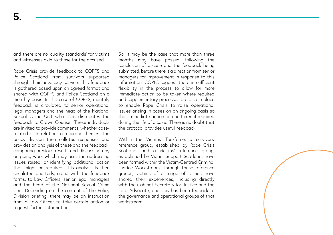and there are no 'quality standards' for victims and witnesses akin to those for the accused.

Rape Crisis provide feedback to COPFS and Police Scotland from survivors supported through their advocacy service. This feedback is gathered based upon an agreed format and shared with COPFS and Police Scotland on a monthly basis. In the case of COPFS, monthly feedback is circulated to senior operational legal managers and the head of the National Sexual Crime Unit who then distributes the feedback to Crown Counsel. These individuals are invited to provide comments, whether caserelated or in relation to recurring themes. The policy division then collates responses and provides an analysis of these and the feedback, comparing previous results and discussing any on-going work which may assist in addressing issues raised, or identifying additional action that might be required. This analysis is then circulated quarterly, along with the feedback forms, to Law Officers, senior legal managers and the head of the National Sexual Crime Unit. Depending on the content of the Policy Division briefing, there may be an instruction from a Law Officer to take certain action or request further information.

So, it may be the case that more than three months may have passed, following the conclusion of a case and the feedback being submitted, before there is a direction from senior managers for improvement in response to this information. COPFS suggest there is sufficient flexibility in the process to allow for more immediate action to be taken where required and supplementary processes are also in place to enable Rape Crisis to raise operational issues arising in cases on an ongoing basis so that immediate action can be taken if required during the life of a case. There is no doubt that the protocol provides useful feedback.

Within the Victims' Taskforce, a survivors' reference group, established by Rape Crisis Scotland, and a victims' reference group, established by Victim Support Scotland, have been formed within the Victim-Centred Criminal Justice Workstream. Through these reference groups, victims of a range of crimes have shared their experiences, including directly with the Cabinet Secretary for Justice and the Lord Advocate, and this has been fedback to the governance and operational groups of that workstream.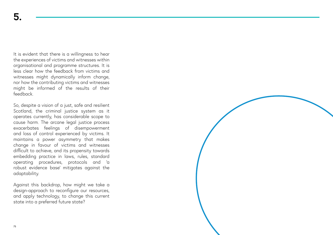It is evident that there is a willingness to hear the experiences of victims and witnesses within organisational and programme structures. It is less clear how the feedback from victims and witnesses might dynamically inform change, nor how the contributing victims and witnesses might be informed of the results of their feedback.

So, despite a vision of a just, safe and resilient Scotland, the criminal justice system as it operates currently, has considerable scope to cause harm. The arcane legal justice process exacerbates feelings of disempowerment and loss of control experienced by victims. It maintains a power asymmetry that makes change in favour of victims and witnesses difficult to achieve, and its propensity towards embedding practice in laws, rules, standard operating procedures, protocols and 'a robust evidence base' mitigates against the adaptability.

Against this backdrop, how might we take a design-approach to reconfigure our resources, and apply technology, to change this current state into a preferred future state?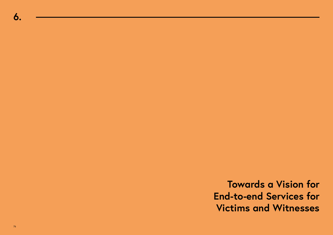**Towards a Vision for End-to-end Services for Victims and Witnesses**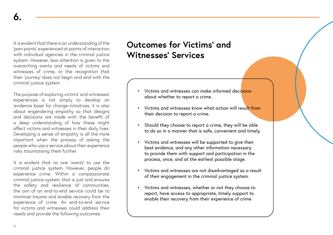It is evident that there is an understanding of the 'pain points' experienced at points of interaction with individual agencies in the criminal justice system. However, less attention is given to the overarching wants and needs of victims and witnesses of crime, or the recognition that their 'journey' does not begin and end with the criminal justice system.

The purpose of exploring victims' and witnesses' experiences is not simply to develop an 'evidence base' for change initiatives; it is also about engendering empathy so that designs and decisions are made with the benefit of a deep understanding of how these might affect victims and witnesses in their daily lives. Developing a sense of empathy is all the more important when the process of asking the people who use a service about their experience risks traumatising them further.

It is evident that no one 'wants' to use the criminal justice system. However, people do experience crime. Within a compassionate criminal justice system, that is just and ensures the safety and resilience of communities, the aim of an end-to-end service could be to minimise trauma and enable recovery from the experience of crime. An end-to-end service for victims and witnesses could address their needs and provide the following outcomes:

## **Outcomes for Victims' and Witnesses' Services**

- Victims and witnesses can make informed decisions about whether to report a crime.
- Victims and witnesses know what action will result from their decision to report a crime.
- Should they choose to report a crime, they will be able to do so in a manner that is safe, convenient and timely.
- Victims and witnesses will be supported to give their best evidence, and any other information necessary to provide them with support and participation in the process, once, and at the earliest possible stage.
- Victims and witnesses are not disadvantaged as a result of their engagement in the criminal justice system.
- Victims and witnesses, whether or not they choose to report, have access to appropriate, timely support to enable their recovery from their experience of crime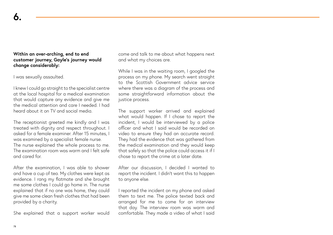## **Within an over-arching, end to end customer journey, Gayle's journey would change considerably:**

I was sexually assaulted.

**6.**

I knew I could go straight to the specialist centre at the local hospital for a medical examination that would capture any evidence and give me the medical attention and care I needed. I had heard about it on TV and social media.

The receptionist greeted me kindly and I was treated with dignity and respect throughout. I asked for a female examiner. After 15 minutes, I was examined by a specialist female nurse. The nurse explained the whole process to me. The examination room was warm and I felt safe and cared for.

After the examination, I was able to shower and have a cup of tea. My clothes were kept as evidence. I rang my flatmate and she brought me some clothes I could go home in. The nurse explained that if no one was home, they could give me some clean fresh clothes that had been provided by a charity.

She explained that a support worker would

come and talk to me about what happens next and what my choices are.

While I was in the waiting room, I googled the process on my phone. My search went straight to the Scottish Government advice service where there was a diagram of the process and some straightforward information about the justice process.

The support worker arrived and explained what would happen. If I chose to report the incident, I would be interviewed by a police officer and what I said would be recorded on video to ensure they had an accurate record. They had the evidence that was gathered from the medical examination and they would keep that safely so that the police could access it if I chose to report the crime at a later date.

After our discussion, I decided I wanted to report the incident. I didn't want this to happen to anyone else.

I reported the incident on my phone and asked them to text me. The police texted back and arranged for me to come for an interview that day. The interview room was warm and comfortable. They made a video of what I said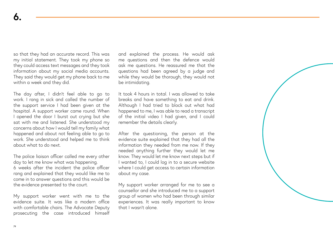so that they had an accurate record. This was my initial statement. They took my phone so they could access text messages and they took information about my social media accounts. They said they would get my phone back to me within a week and they did.

The day after, I didn't feel able to go to work. I rang in sick and called the number of the support service I had been given at the hospital. A support worker came round. When I opened the door I burst out crying but she sat with me and listened. She understood my concerns about how I would tell my family what happened and about not feeling able to go to work. She understood and helped me to think about what to do next.

The police liaison officer called me every other day to let me know what was happening. 6 weeks after the incident the police officer rang and explained that they would like me to come in to answer questions and this would be the evidence presented to the court.

My support worker went with me to the evidence suite. It was like a modern office with comfortable chairs. The Advocate Deputy prosecuting the case introduced himself and explained the process. He would ask me questions and then the defence would ask me questions. He reassured me that the questions had been agreed by a judge and while they would be thorough, they would not be intimidating.

It took 4 hours in total. I was allowed to take breaks and have something to eat and drink. Although I had tried to block out what had happened to me, I was able to read a transcript of the initial video I had given, and I could remember the details clearly.

After the questioning, the person at the evidence suite explained that they had all the information they needed from me now. If they needed anything further they would let me know. They would let me know next steps but if I wanted to, I could log in to a secure website where I could get access to certain information about my case.

My support worker arranged for me to see a counsellor and she introduced me to a support group of women who had been through similar experiences. It was really important to know that I wasn't alone.

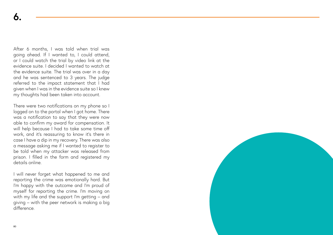After 6 months, I was told when trial was going ahead. If I wanted to, I could attend, or I could watch the trial by video link at the evidence suite. I decided I wanted to watch at the evidence suite. The trial was over in a day and he was sentenced to 3 years. The judge referred to the impact statement that I had given when I was in the evidence suite so I knew my thoughts had been taken into account.

There were two notifications on my phone so I logged on to the portal when I got home. There was a notification to say that they were now able to confirm my award for compensation. It will help because I had to take some time off work, and it's reassuring to know it's there in case I have a dip in my recovery. There was also a message asking me if I wanted to register to be told when my attacker was released from prison. I filled in the form and registered my details online.

I will never forget what happened to me and reporting the crime was emotionally hard. But I'm happy with the outcome and I'm proud of myself for reporting the crime. I'm moving on with my life and the support I'm getting – and giving – with the peer network is making a big difference.

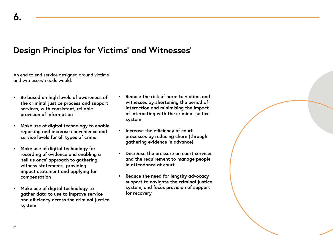## **Design Principles for Victims' and Witnesses'**

An end to end service designed around victims' and witnesses' needs would:

- **• Be based on high levels of awareness of the criminal justice process and support services, with consistent, reliable provision of information**
- **• Make use of digital technology to enable reporting and increase convenience and service levels for all types of crime**
- **• Make use of digital technology for recording of evidence and enabling a 'tell us once' approach to gathering witness statements, providing impact statement and applying for compensation**
- **• Make use of digital technology to gather data to use to improve service and efficiency across the criminal justice system**
- **• Reduce the risk of harm to victims and witnesses by shortening the period of interaction and minimising the impact of interacting with the criminal justice system**
- **• Increase the efficiency of court processes by reducing churn (through gathering evidence in advance)**
- **• Decrease the pressure on court services and the requirement to manage people in attendance at court**
- **• Reduce the need for lengthy advocacy support to navigate the criminal justice system, and focus provision of support for recovery**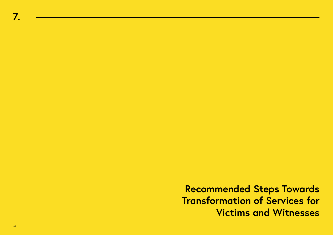**Recommended Steps Towards Transformation of Services for Victims and Witnesses**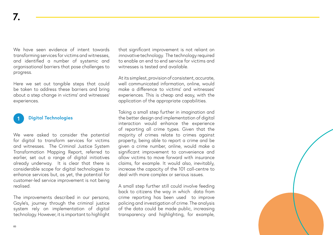We have seen evidence of intent towards transforming services for victims and witnesses, and identified a number of systemic and organisational barriers that pose challenges to progress.

Here we set out tangible steps that could be taken to address these barriers and bring about a step change in victims' and witnesses' experiences.



We were asked to consider the potential for digital to transform services for victims and witnesses. The Criminal Justice System Transformation Mapping Report, referred to earlier, set out a range of digital initiatives already underway. It is clear that there is considerable scope for digital technologies to enhance services but, as yet, the potential for customer-led service improvement is not being realised.

The improvements described in our persona, Gayle's, journey through the criminal justice system rely on implementation of digital technology. However, it is important to highlight that significant improvement is not reliant on *innovative* technology. The technology required to enable an end to end service for victims and witnesses is tested and available.

At its simplest, provision of consistent, accurate, well communicated information, online, would make a difference to victims' and witnesses' experiences. This is cheap and easy, with the application of the appropriate capabilities.

Taking a small step further in imagination and the better design and implementation of digital interaction would enhance the experience of reporting all crime types. Given that the majority of crimes relate to crimes against property, being able to report a crime and be given a crime number, online, would make a significant improvement to convenience and allow victims to move forward with insurance claims, for example. It would also, inevitably, increase the capacity of the 101 call-centre to deal with more complex or serious issues.

A small step further still could involve feeding back to citizens the way in which data from crime reporting has been used to improve policing and investigation of crime. The analysis of the data could be made public, increasing transparency and highlighting, for example,

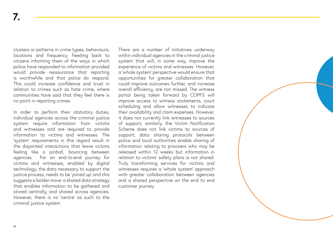clusters or patterns in crime types, behaviours, locations and frequency. Feeding back to citizens informing them of the ways in which police have responded to information provided would provide reassurance that reporting is worthwhile and that police do respond. This could increase confidence and trust in relation to crimes such as hate crime, where communities have said that they feel there is no point in reporting crimes.

In order to perform their statutory duties, individual agencies across the criminal justice system require information from victims and witnesses and are required to provide information to victims and witnesses. The 'system' requirements in this regard result in the disjointed interactions that leave victims feeling like a pinball, bouncing between agencies. For an end-to-end journey for victims and witnesses, enabled by digital technology, the data necessary to support the justice process, needs to be 'joined up' and this suggests a bolder move: a shared data strategy that enables information to be gathered and stored centrally, and shared across agencies. However, there is no 'centre' as such to the criminal justice system.

There are a number of initiatives underway within individual agencies in the criminal justice system that will, in some way, improve the experience of victims and witnesses. However, a 'whole system' perspective would ensure that opportunities for greater collaboration that could improve outcomes further, and increase overall efficiency, are not missed. The witness portal being taken forward by COPFS will improve access to witness statements, court scheduling and allow witnesses to indicate their availability and claim expenses. However, it does not currently link witnesses to sources of support; similarly, the Victim Notification Scheme does not link victims to sources of support; data sharing protocols between police and local authorities enable sharing of information relating to prisoners who may be released within 12 weeks but information in relation to victims' safety plans is not shared. Truly transforming services for victims and witnesses requires a 'whole system' approach with greater collaboration between agencies and a shared perspective on the end to end customer journey.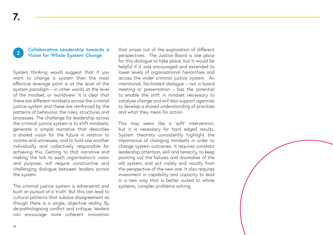#### **2 Collaborative Leadership towards a Vision for 'Whole System' Change**

System thinking would suggest that if you want to change a system then the most effective leverage point is at the level of the system paradigm – in other words at the level of the mindset, or 'worldview'. It is clear that there are different mindsets across the criminal justice system and these are reinforced by the patterns of behaviour, the rules, structures and processes. The challenge for leadership across the criminal justice system is to shift mindsets, generate a simple narrative that describes a shared vision for the future in relation to victims and witnesses, and to hold one another individually and collectively responsible for achieving this. Getting to that narrative and making the link to each organisation's vision and purpose, will require constructive and challenging dialogue between leaders across the system.

The criminal justice system is adversarial and built on pursuit of a 'truth'. But this can lead to cultural patterns that subdue disagreement as though there is a single, objective reality. By de-pathologising conflict and critique, leaders can encourage more coherent innovation

that arises out of the exploration of different perspectives. The Justice Board is one place for this dialogue to take place, but it would be helpful if it was encouraged and extended to lower levels of organisational hierarchies and across the wider criminal justice system. An intentional, facilitated dialogue – not a board meeting or presentation – has the potential to enable the shift in mindset necessary to catalyse change and will also support agencies to develop a shared understanding of priorities and what they mean for action.

This may seem like a 'soft' intervention, but it is necessary for hard edged results. System theorists consistently highlight the importance of changing mindsets in order to change system outcomes. It requires constant leadership attention, skill and tenacity, to keep pointing out the failures and anomalies of the old system, and act visibly and vocally from the perspective of the new one. It also requires investment in capability and capacity to lead in a new way that is better suited to whole systems, complex problems solving.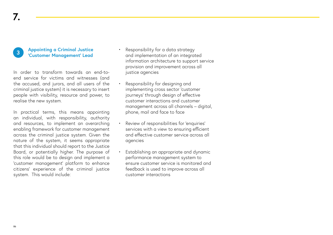#### **3 Appointing a Criminal Justice 'Customer Management' Lead**

In order to transform towards an end-toend service for victims and witnesses (and the accused, and jurors, and all users of the criminal justice system) it is necessary to insert people with visibility, resource and power, to realise the new system.

In practical terms, this means appointing an individual, with responsibility, authority and resources, to implement an overarching enabling framework for customer management across the criminal justice system. Given the nature of the system, it seems appropriate that this individual should report to the Justice Board, or potentially higher. The purpose of this role would be to design and implement a 'customer management' platform to enhance citizens' experience of the criminal justice system. This would include:

- Responsibility for a data strategy and implementation of an integrated information architecture to support service provision and improvement across all justice agencies
- Responsibility for designing and implementing cross sector 'customer journeys' through design of effective customer interactions and customer management across all channels – digital, phone, mail and face to face
- Review of responsibilities for 'enquiries' services with a view to ensuring efficient and effective customer service across all agencies
- Establishing an appropriate and dynamic performance management system to ensure customer service is monitored and feedback is used to improve across all customer interactions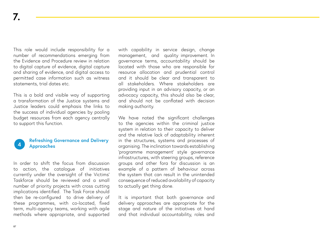This role would include responsibility for a number of recommendations emerging from the Evidence and Procedure review in relation to digital capture of evidence, digital capture and sharing of evidence, and digital access to permitted case information such as witness statements, trial dates etc.

This is a bold and visible way of supporting a transformation of the Justice systems and Justice leaders could emphasis the links to the success of individual agencies by pooling budget resources from each agency centrally to support this function.

#### **Refreshing Governance and Delivery Approaches 4**

In order to shift the focus from discussion to action, the catalogue of initiatives currently under the oversight of the Victims' Taskforce should be reviewed and a small number of priority projects with cross cutting implications identified. The Task Force should then be re-configured to drive delivery of these programmes, with co-located, fixed term, multi-agency teams, working with agile methods where appropriate, and supported with capability in service design, change management, and quality improvement. In governance terms, accountability should be located with those who are responsible for resource allocation and prudential control and it should be clear and transparent to all stakeholders. Where stakeholders are providing input in an advisory capacity, or an advocacy capacity, this should also be clear, and should not be conflated with decision making authority.

We have noted the significant challenges to the agencies within the criminal justice system in relation to their capacity to deliver and the relative lack of adaptability inherent in the structures, systems and processes of organising. The inclination towards establishing 'programme management' style governance infrastructures, with steering groups, reference groups and other fora for discussion is an example of a pattern of behaviour across the system that can result in the unintended consequence of reduced availability of capacity to actually get thing done.

It is important that both governance and delivery approaches are appropriate for the stage and nature of the initiatives at hand and that individual accountability, roles and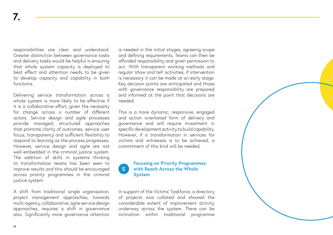responsibilities are clear and understood. Greater distinction between governance tasks and delivery tasks would be helpful in ensuring that whole system capacity is deployed to best effect and attention needs to be given to develop capacity and capability in both functions.

Delivering service transformation across a whole system is more likely to be effective if it is a collaborative effort, given the necessity for change across a number of different actors. Service design and agile processes provide managed, structured approaches that promote clarity of outcomes, service user focus, transparency and sufficient flexibility to respond to learning as the process progresses. However, service design and agile are not well embedded in the criminal justice system. The addition of skills in systems thinking to transformation teams has been seen to improve results and this should be encouraged across priority programmes in the criminal justice system.

A shift from traditional single organisation, project management approaches, towards multi-agency, collaborative, agile service design approaches, requires a shift in governance also. Significantly more governance attention is needed in the initial stages, agreeing scope and defining requirements. Teams can then be afforded responsibility and given permission to act. With transparent working methods and regular 'show and tell' activities, if intervention is necessary it can be made at an early stage. Key decision points are anticipated and those with governance responsibility are prepared and informed at the point that decisions are needed.

This is a more dynamic, responsive, engaged and action orientated form of delivery and governance and will require investment in specific development activity to build capability. However, if a transformation in services for victims and witnesses is to be achieved, a commitment of this kind will be needed.

### **Focusing on Priority Programmes with Reach Across the Whole System 5**

In support of the Victims' Taskforce, a directory of projects was collated and showed the considerable extent of improvement activity underway across the system. There can be inclination within traditional programme

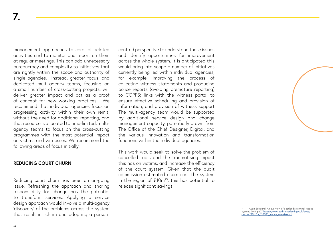management approaches to coral all related activities and to monitor and report on them at regular meetings. This can add unnecessary bureaucracy and complexity to initiatives that are rightly within the scope and authority of single agencies. Instead, greater focus, and dedicated multi-agency teams, focusing on a small number of cross-cutting projects, will deliver greater impact and act as a proof of concept for new working practices. We recommend that individual agencies focus on progressing activity within their own remit, without the need for additional reporting, and that resource is allocated to time-limited, multiagency teams to focus on the cross-cutting programmes with the most potential impact on victims and witnesses. We recommend the following areas of focus initially:

### **REDUCING COURT CHURN**

Reducing court churn has been an on-going issue. Refreshing the approach and sharing responsibility for change has the potential to transform services. Applying a service design approach would involve a multi-agency 'discovery' of the problems across the system that result in churn and adopting a personcentred perspective to understand these issues and identify opportunities for improvement across the whole system. It is anticipated this would bring into scope a number of initiatives currently being led within individual agencies, for example, improving the process of collecting witness statements and producing police reports (avoiding premature reporting) to COPFS; links with the witness portal to ensure effective scheduling and provision of information; and provision of witness support The multi-agency team would be supported by additional service design and change management capacity, potentially drawn from The Office of the Chief Designer, Digital, and the various innovation and transformation functions within the individual agencies.

This work would seek to solve the problem of cancelled trials and the traumatising impact this has on victims, and increase the efficiency of the court system. Given that the audit commission estimated churn cost the system in the region of  $£10m^{75}$ , this has potential to release significant savings.

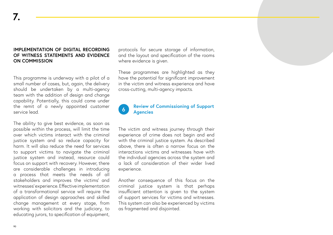## **IMPLEMENTATION OF DIGITAL RECORDING OF WITNESS STATEMENTS AND EVIDENCE ON COMMISSION**

This programme is underway with a pilot of a small number of cases, but, again, the delivery should be undertaken by a multi-agency team with the addition of design and change capability. Potentially, this could come under the remit of a newly appointed customer service lead.

The ability to give best evidence, as soon as possible within the process, will limit the time over which victims interact with the criminal justice system and so reduce capacity for harm. It will also reduce the need for services to support victims to navigate the criminal justice system and instead, resource could focus on support with recovery. However, there are considerable challenges in introducing a process that meets the needs of all stakeholders and improves the victims' and witnesses' experience. Effective implementation of a transformational service will require the application of design approaches and skilled change management at every stage, from working with solicitors and the judiciary, to educating jurors, to specification of equipment,

protocols for secure storage of information, and the layout and specification of the rooms where evidence is given.

These programmes are highlighted as they have the potential for significant improvement in the victim and witness experience and have cross-cutting, multi-agency impacts.

### **Review of Commissioning of Support Agencies 6**

The victim and witness journey through their experience of crime does not begin and end with the criminal justice system. As described above, there is often a narrow focus on the interactions victims and witnesses have with the individual agencies across the system and a lack of consideration of their wider lived experience.

Another consequence of this focus on the criminal justice system is that perhaps insufficient attention is given to the system of support services for victims and witnesses. This system can also be experienced by victims as fragmented and disjointed.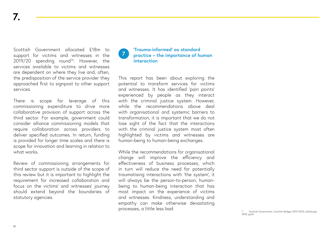Scottish Government allocated £18m to support for victims and witnesses in the  $2019/20$  spending round<sup>76</sup>. However, the services available to victims and witnesses are dependent on where they live and, often, the predisposition of the service provider they approached first to signpost to other support services.

There is scope for leverage of this commissioning expenditure to drive more collaborative provision of support across the third sector. For example, government could consider alliance commissioning models that require collaboration across providers to deliver specified outcomes. In return, funding is provided for longer time scales and there is scope for innovation and learning in relation to what works.

Review of commissioning arrangements for third sector support is outside of the scope of this review but it is important to highlight the requirement for increased collaboration and focus on the victims' and witnesses' journey should extend beyond the boundaries of statutory agencies.

### **'Trauma-informed' as standard practice – the importance of human interaction 7**

This report has been about exploring the potential to transform services for victims and witnesses. It has identified 'pain points' experienced by people as they interact with the criminal justice system. However, while the recommendations above deal with organisational and systemic barriers to transformation, it is important that we do not lose sight of the fact that the interactions with the criminal justice system most often highlighted by victims and witnesses are human-being to human-being exchanges.

While the recommendations for organisational change will improve the efficiency and effectiveness of business processes, which in turn will reduce the need for potentially traumatising interactions with 'the system', it will always be the person-to-person, humanbeing to human-being interaction that has most impact on the experience of victims and witnesses. Kindness, understanding and empathy can make otherwise devastating processes, a little less bad.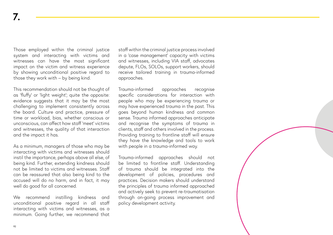Those employed within the criminal justice system and interacting with victims and witnesses can have the most significant impact on the victim and witness experience by showing unconditional positive regard to those they work with – by being kind.

This recommendation should not be thought of as 'fluffy' or 'light weight'; quite the opposite: evidence suggests that it may be the most challenging to implement consistently across the board. Culture and practice, pressure of time or workload, bias, whether conscious or unconscious, can affect how staff 'meet' victims and witnesses, the quality of that interaction and the impact it has.

As a minimum, managers of those who may be interacting with victims and witnesses should instil the importance, perhaps above all else, of being kind. Further, extending kindness should not be limited to victims and witnesses. Staff can be reassured that also being kind to the accused will do no harm, and in fact, it may well do good for all concerned.

We recommend instilling kindness and unconditional positive regard in all staff interacting with victims and witnesses, as a minimum. Going further, we recommend that staff within the criminal justice process involved in a 'case management' capacity with victims and witnesses, including VIA staff, advocates depute, FLOs, SOLOs, support workers, should receive tailored training in trauma-informed approaches.

Trauma-informed approaches recognise specific considerations for interaction with people who may be experiencing trauma or may have experienced trauma in the past. This goes beyond human kindness and common sense. Trauma informed approaches anticipate and recognise the symptoms of trauma in clients, staff and others involved in the process. Providing training to frontline staff will ensure they have the knowledge and tools to work with people in a trauma-informed way.

Trauma-informed approaches should not be limited to frontline staff. Understanding of trauma should be integrated into the development of policies, procedures and practices. Decision makers should understand the principles of trauma informed approached and actively seek to prevent re-traumatisation through on-going process improvement and policy development activity.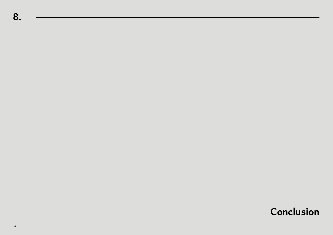# **Conclusion**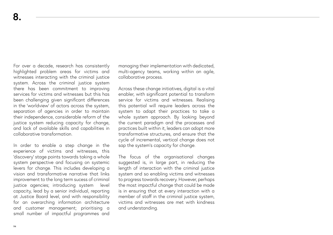For over a decade, research has consistently highlighted problem areas for victims and witnesses interacting with the criminal justice system. Across the criminal justice system there has been commitment to improving services for victims and witnesses but this has been challenging given significant differences in the 'worldview' of actors across the system, separation of agencies in order to maintain their independence, considerable reform of the justice system reducing capacity for change, and lack of available skills and capabilities in collaborative transformation.

In order to enable a step change in the experience of victims and witnesses, this 'discovery' stage points towards taking a whole system perspective and focusing on systemic levers for change. This includes developing a vision and transformative narrative that links improvement to the long term sucess of criminal justice agencies; introducing system level capacity, lead by a senior individual, reporting at Justice Board level, and with responsibility for an overarching information architecture and customer management; prioritising a small number of impactful programmes and managing their implementation with dedicated, multi-agency teams, working within an agile, collaborative process.

Across these change initiatives, digital is a vital enabler, with significant potential to transform service for victims and witnesses. Realising this potential will require leaders across the system to adapt their practices to take a whole system approach. By looking beyond the current paradigm and the processes and practices built within it, leaders can adopt more transformative structures, and ensure that the cycle of incremental, vertical change does not sap the system's capacity for change.

The focus of the organisational changes suggested is, in large part, in reducing the length of interaction with the criminal justice system and so enabling victims and witnesses to progress towards recovery. However, perhaps the most impactful change that could be made is in ensuring that at every interaction with a member of staff in the criminal justice system. victims and witnesses are met with kindness and understanding.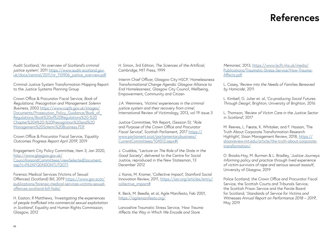## **References**

Audit Scotland, '*An overview of Scotland's criminal justice system'*, 2011 [https://www.audit-scotland.gov.](https://www.audit-scotland.gov.uk/docs/central/2011/nr_110906_justice_overview.pdf) [uk/docs/central/2011/nr\\_110906\\_justice\\_overview.pdf](https://www.audit-scotland.gov.uk/docs/central/2011/nr_110906_justice_overview.pdf)

Criminal Justice System Transformation Mapping Report to the Justice Systems Planning Group

Crown Office & Procurator Fiscal Service, *Book of Regulations: Precognition and Management Solemn Business*, 2003 [https://www.copfs.gov.uk/images/](https://www.copfs.gov.uk/images/Documents/Prosecution_Policy_Guidance/Book_of_Regulations/Book%20of%20Regulations%20-%20Chapter%204%20-%20Precognition%20and%20Management%20Solemn%20Business.PDF) Documents/Prosecution\_Policy\_Guidance/Book\_of [Regulations/Book%20of%20Regulations%20-%20](https://www.copfs.gov.uk/images/Documents/Prosecution_Policy_Guidance/Book_of_Regulations/Book%20of%20Regulations%20-%20Chapter%204%20-%20Precognition%20and%20Management%20Solemn%20Business.PDF) [Chapter%204%20-%20Precognition%20and%20](https://www.copfs.gov.uk/images/Documents/Prosecution_Policy_Guidance/Book_of_Regulations/Book%20of%20Regulations%20-%20Chapter%204%20-%20Precognition%20and%20Management%20Solemn%20Business.PDF) [Management%20Solemn%20Business.PDF](https://www.copfs.gov.uk/images/Documents/Prosecution_Policy_Guidance/Book_of_Regulations/Book%20of%20Regulations%20-%20Chapter%204%20-%20Precognition%20and%20Management%20Solemn%20Business.PDF)

Crown Office & Procurator Fiscal Service, '*Equality Outcomes Progress Report April 2019*', 2019

Engagement City Policy Committee, Item 3, Jan 2020, [http://www.glasgow.gov.uk/](http://www.glasgow.gov.uk/ CouncillorsandCommittees/viewSelectedDocument.asp?c=P62AFQDN0GNTUT0GT1) [CouncillorsandCommittees/viewSelectedDocument.](http://www.glasgow.gov.uk/ CouncillorsandCommittees/viewSelectedDocument.asp?c=P62AFQDN0GNTUT0GT1) [asp?c=P62AFQDN0GNTUT0GT1](http://www.glasgow.gov.uk/ CouncillorsandCommittees/viewSelectedDocument.asp?c=P62AFQDN0GNTUT0GT1)

Forensic Medical Services (Victims of Sexual Offences) (Scotland) Bill, 2019 [https://www.gov.scot/](https://www.gov.scot/publications/forensic-medical-services-victims-sexual-offences-scotland-bill-fsda/) [publications/forensic-medical-services-victims-sexual](https://www.gov.scot/publications/forensic-medical-services-victims-sexual-offences-scotland-bill-fsda/)[offences-scotland-bill-fsda/](https://www.gov.scot/publications/forensic-medical-services-victims-sexual-offences-scotland-bill-fsda/)

H. Easton, R Matthews, *'Investigating the experiences of people trafficked into commercial sexual exploitation in Scotland'*, Equality and Human Rights Commission, Glasgow, 2012

H. Simon, 3rd Edition, *The Sciences of the Artificial*, Cambridge, MIT Press, 1999

Interim Chief Officer, Glasgow City HSCP, '*Homelessness Transformational Change Agenda: Glasgow Alliance to End Homelessness'*, Glasgow City Council, Wellbeing, Empowerment, Community and Citizen

J.A. Wemmers, '*Victims' experiences in the criminal justice system and their recovery from crime'*, International Review of Victimology, 2013, vol 19 issue 3

Justice Committee, 9th Report, (Session 5): "*Role and Purpose of the Crown Office and Procurator Fiscal Service*", Scottish Parliament, 2017 [https://](https://www.parliament.scot/parliamentarybusiness/CurrentCommittees/104512.aspx#i) [www.parliament.scot/parliamentarybusiness/](https://www.parliament.scot/parliamentarybusiness/CurrentCommittees/104512.aspx#i) [CurrentCommittees/104512.aspx#i](https://www.parliament.scot/parliamentarybusiness/CurrentCommittees/104512.aspx#i)

J. Cruddas, "*Lecture on The Role of the State in the Good Society*", delivered to the Centre for Social Justice, reproduced in the New Statesman, 13 December 2012

J. Kania, M. Kramer, '*Collective Impact*', Stamford Social Innovation Review, 2011, [https://ssir.org/articles/entry/](https://ssir.org/articles/entry/collective_impact#) [collective\\_impact#](https://ssir.org/articles/entry/collective_impact#)

K. Beck, M. Beedle, et al, Agile Manifesto, Feb 2001, <https://agilemanifesto.org/>

Lancashire Traumatic Stress Service, '*How Trauma Affects the Way in Which We Encode and Store* 

*Memories*', 2013, [https://www.lscft.nhs.uk/media/](https://www.lscft.nhs.uk/media/Publications/Traumatic-Stress-Service/How-Trauma-Affects.pdf ) [Publications/Traumatic-Stress-Service/How-Trauma-](https://www.lscft.nhs.uk/media/Publications/Traumatic-Stress-Service/How-Trauma-Affects.pdf )[Affects.pdf](https://www.lscft.nhs.uk/media/Publications/Traumatic-Stress-Service/How-Trauma-Affects.pdf )

L. Casey, '*Review into the Needs of Families Bereaved by Homicide*', 2011

L. Kimbell, G. Julier et. al, '*Co-producing Social Futures Through Design*', Brighton, University of Brighton, 2016

L. Thomson, '*Review of Victim Care in the Justice Sector in Scotland'*, 2017

M. Reeves, L. Fæste, K. Whitaker, and F. Hassan, 'The Truth About Corporate Transformation Research Highlight', Sloan Management Review, 2018, [https://](https://sloanreview.mit.edu/article/the-truth-about-corporate-transformation/) [sloanreview.mit.edu/article/the-truth-about-corporate](https://sloanreview.mit.edu/article/the-truth-about-corporate-transformation/)[transformation/](https://sloanreview.mit.edu/article/the-truth-about-corporate-transformation/)

O. Brooks-Hay, M. Burman & L. Bradley, '*Justice Journeys Informing policy and practice through lived experience of victim-survivors of rape and serious sexual assault*', University of Glasgow, 2019

Police Scotland, the Crown Office and Procurator Fiscal Service, the Scottish Courts and Tribunals Service, the Scottish Prison Service and the Parole Board for Scotland, '*Standards of Service for Victims and Witnesses Annual Report on Performance 2018 – 2019*', May 2019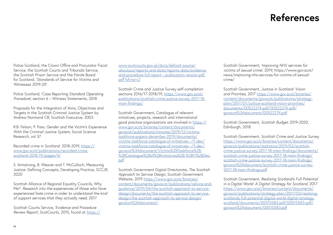# **References**

Police Scotland, the Crown Office and Procurator Fiscal Service, the Scottish Courts and Tribunals Service, the Scottish Prison Service and the Parole Board for Scotland, '*Standards of Service for Victims and Witnesses 2019-20*'

Police Scotland, '*Case Reporting Standard Operating Procedure*', section 6 – Witness Statements, 2018

Proposals for the Integration of Aims, Objectives and Targets in the Scottish Criminal Justice System by Andrew Normand CB, Scottish Executive, 2003

R.B. Felson, P. Pare, *Gender and the Victim's Experience With the Criminal Justice System*, Social Science Research, vol 37

Recorded crime in Scotland: 2018-2019, [https://](https://www.gov.scot/publications/recorded-crime-scotland-2018-19/pages/4/ ) [www.gov.scot/publications/recorded-crime](https://www.gov.scot/publications/recorded-crime-scotland-2018-19/pages/4/ )[scotland-2018-19/pages/4/](https://www.gov.scot/publications/recorded-crime-scotland-2018-19/pages/4/ )

S. Armstrong, B. Weaver and T. McCulloch, Measuring Justice: Defining Concepts, Developing Practice, SCCJR, 2020

Scottish Alliance of Regional Equality Councils, Why Me?: *Research into the experiences of those who have experienced hate crime in order to understand the kind of support services that they actually need*, 2017

Scottish Courts Service, '*Evidence and Procedure Review Report*', ScotCourts, 2015, found at [https://](https://www.scotcourts.gov.uk/docs/default-source/aboutscs/reports-and-data/reports-data/evidence-and-procedure-full-report---publication-version-pdf.pdf?sfvrsn=2 )

[www.scotcourts.gov.uk/docs/default-source/](https://www.scotcourts.gov.uk/docs/default-source/aboutscs/reports-and-data/reports-data/evidence-and-procedure-full-report---publication-version-pdf.pdf?sfvrsn=2 ) [aboutscs/reports-and-data/reports-data/evidence](https://www.scotcourts.gov.uk/docs/default-source/aboutscs/reports-and-data/reports-data/evidence-and-procedure-full-report---publication-version-pdf.pdf?sfvrsn=2 )[and-procedure-full-report---publication-version-pdf.](https://www.scotcourts.gov.uk/docs/default-source/aboutscs/reports-and-data/reports-data/evidence-and-procedure-full-report---publication-version-pdf.pdf?sfvrsn=2 ) [pdf?sfvrsn=2](https://www.scotcourts.gov.uk/docs/default-source/aboutscs/reports-and-data/reports-data/evidence-and-procedure-full-report---publication-version-pdf.pdf?sfvrsn=2 )

Scottish Crime and Justice Survey self-completion sections 2016/17-2018/19, [https://www.gov.scot/](https://www.gov.scot/publications/scottish-crime-justice-survey-2017-18-main-findings/ ) [publications/scottish-crime-justice-survey-2017-18](https://www.gov.scot/publications/scottish-crime-justice-survey-2017-18-main-findings/ ) [main-findings/](https://www.gov.scot/publications/scottish-crime-justice-survey-2017-18-main-findings/ )

Scottish Government, Catalogue of relevant initiatives, projects, research and international good practice organisations are involved in [https://](https://www.gov.scot/binaries/content/documents/govscot/publications/minutes/2019/12/victims-taskfor) [www.gov.scot/binaries/content/documents/](https://www.gov.scot/binaries/content/documents/govscot/publications/minutes/2019/12/victims-taskfor) [govscot/publications/minutes/2019/12/victims](https://www.gov.scot/binaries/content/documents/govscot/publications/minutes/2019/12/victims-taskfor)[taskforce-papers-december-2019/documents/](https://www.gov.scot/binaries/content/documents/govscot/publications/minutes/2019/12/victims-taskfor) [victims-taskforce-catalogue-of-initiatives---11-dec/](https://www.gov.scot/binaries/content/documents/govscot/publications/minutes/2019/12/victims-taskfor) [victims-taskforce-catalogue-of-initiatives---11-dec/](https://www.gov.scot/binaries/content/documents/govscot/publications/minutes/2019/12/victims-taskfor) [govscot%3Adocument/Victims%2BTaskforce%2B-](https://www.gov.scot/binaries/content/documents/govscot/publications/minutes/2019/12/victims-taskfor) [%2BCatalogue%2Bof%2BInitiatives%2B-%2B11%2BDec.](https://www.gov.scot/binaries/content/documents/govscot/publications/minutes/2019/12/victims-taskfor) [pdf](https://www.gov.scot/binaries/content/documents/govscot/publications/minutes/2019/12/victims-taskfor)

Scottish Government Digital Directorate, *The Scottish Approach to Service Design*, Scottish Government Website, 2019 [https://www.gov.scot/binaries/](https://www.gov.scot/binaries/content/documents/govscot/publications/advice-and-guidance/2019/04/the) [content/documents/govscot/publications/advice-and](https://www.gov.scot/binaries/content/documents/govscot/publications/advice-and-guidance/2019/04/the)[guidance/2019/04/the-scottish-approach-to-service](https://www.gov.scot/binaries/content/documents/govscot/publications/advice-and-guidance/2019/04/the)[design/documents/the-scottish-approach-to-service](https://www.gov.scot/binaries/content/documents/govscot/publications/advice-and-guidance/2019/04/the)[design/the-scottish-approach-to-service-design/](https://www.gov.scot/binaries/content/documents/govscot/publications/advice-and-guidance/2019/04/the) [govscot%3Adocument/](https://www.gov.scot/binaries/content/documents/govscot/publications/advice-and-guidance/2019/04/the)

Scottish Government, '*Improving NHS services for victims of sexual crime'*, 2019, https://www.gov.scot/ news/improving-nhs-services-for-victims-of-sexualcrime/

Scottish Government, *Justice in Scotland: Vision and Priorities*, 2017 [https://www.gov.scot/binaries/](https://www.gov.scot/binaries/content/documents/govscot/publications/strategy-plan/2017/07/justice-s) [content/documents/govscot/publications/strategy](https://www.gov.scot/binaries/content/documents/govscot/publications/strategy-plan/2017/07/justice-s)[plan/2017/07/justice-scotland-vision-priorities/](https://www.gov.scot/binaries/content/documents/govscot/publications/strategy-plan/2017/07/justice-s) [documents/00522274-pdf/00522274-pdf/](https://www.gov.scot/binaries/content/documents/govscot/publications/strategy-plan/2017/07/justice-s) [govscot%3Adocument/00522274.pdf](https://www.gov.scot/binaries/content/documents/govscot/publications/strategy-plan/2017/07/justice-s)

Scottish Government, *Scottish Budget 2019-2020*, Edinburgh, 2018

Scottish Government, *Scottish Crime and Justice Survey*  [https://www.gov.scot/binaries/content/documents/](https://www.gov.scot/binaries/content/documents/govscot/publications/statistics/2019/03/scottish-crime-justice-survey-2017-18-main-findings/documents/scottish-crime-justice-survey-2017-18-main-findings/scottish-crime-justice-survey-2017-18-main-findings/g) [govscot/publications/statistics/2019/03/scottish](https://www.gov.scot/binaries/content/documents/govscot/publications/statistics/2019/03/scottish-crime-justice-survey-2017-18-main-findings/documents/scottish-crime-justice-survey-2017-18-main-findings/scottish-crime-justice-survey-2017-18-main-findings/g)[crime-justice-survey-2017-18-main-findings/documents/](https://www.gov.scot/binaries/content/documents/govscot/publications/statistics/2019/03/scottish-crime-justice-survey-2017-18-main-findings/documents/scottish-crime-justice-survey-2017-18-main-findings/scottish-crime-justice-survey-2017-18-main-findings/g) [scottish-crime-justice-survey-2017-18-main-findings/](https://www.gov.scot/binaries/content/documents/govscot/publications/statistics/2019/03/scottish-crime-justice-survey-2017-18-main-findings/documents/scottish-crime-justice-survey-2017-18-main-findings/scottish-crime-justice-survey-2017-18-main-findings/g) [scottish-crime-justice-survey-2017-18-main-findings/](https://www.gov.scot/binaries/content/documents/govscot/publications/statistics/2019/03/scottish-crime-justice-survey-2017-18-main-findings/documents/scottish-crime-justice-survey-2017-18-main-findings/scottish-crime-justice-survey-2017-18-main-findings/g) [govscot%3Adocument/scottish-crime-justice-survey-](https://www.gov.scot/binaries/content/documents/govscot/publications/statistics/2019/03/scottish-crime-justice-survey-2017-18-main-findings/documents/scottish-crime-justice-survey-2017-18-main-findings/scottish-crime-justice-survey-2017-18-main-findings/g)[2017-18-main-findings.pdf](https://www.gov.scot/binaries/content/documents/govscot/publications/statistics/2019/03/scottish-crime-justice-survey-2017-18-main-findings/documents/scottish-crime-justice-survey-2017-18-main-findings/scottish-crime-justice-survey-2017-18-main-findings/g)

Scottish Government, *Realising Scotland's Full Potential in a Digital World: A Digital Strategy for Scotland*, 2017 [https://www.gov.scot/binaries/content/documents/](https://www.gov.scot/binaries/content/documents/govscot/publications/strategy-plan/2017/03/realising) [govscot/publications/strategy-plan/2017/03/realising](https://www.gov.scot/binaries/content/documents/govscot/publications/strategy-plan/2017/03/realising)[scotlands-full-potential-digital-world-digital-strategy](https://www.gov.scot/binaries/content/documents/govscot/publications/strategy-plan/2017/03/realising)[scotland/documents/00515583-pdf/00515583-pdf/](https://www.gov.scot/binaries/content/documents/govscot/publications/strategy-plan/2017/03/realising) [govscot%3Adocument/00515583.pdf](https://www.gov.scot/binaries/content/documents/govscot/publications/strategy-plan/2017/03/realising)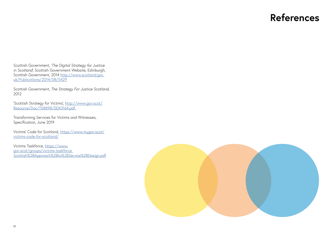## **References**

Scottish Government, '*The Digital Strategy for Justice in Scotland*', Scottish Government Website, Edinburgh, Scottish Government, 2014 [http://www.scotland.gov.](http://www.scotland.gov.uk/Publications/2014/08/5429) [uk/Publications/2014/08/5429](http://www.scotland.gov.uk/Publications/2014/08/5429)

Scottish Government, *The Strategy For Justice Scotland,*  2012

'Scottish Strategy for Victims', [http://www.gov.scot/](http://www.gov.scot/Resource/Doc/158898/0043164.pdf ) [Resource/Doc/158898/0043164.pdf](http://www.gov.scot/Resource/Doc/158898/0043164.pdf ) 

Transforming Services for Victims and Witnesses, Specification, June 2019

Victims' Code for Scotland, [https://www.mygov.scot/](https://www.mygov.scot/victims-code-for-scotland/) [victims-code-for-scotland/](https://www.mygov.scot/victims-code-for-scotland/)

Victims Taskforce, [https://www.](https://www.gov.scot/groups/victims-taskforce Scottish%2BApproach%2Bto%2BService%2BDesign.pdf) [gov.scot/groups/victims-taskforce](https://www.gov.scot/groups/victims-taskforce Scottish%2BApproach%2Bto%2BService%2BDesign.pdf)  [Scottish%2BApproach%2Bto%2BService%2BDesign.pdf](https://www.gov.scot/groups/victims-taskforce Scottish%2BApproach%2Bto%2BService%2BDesign.pdf)